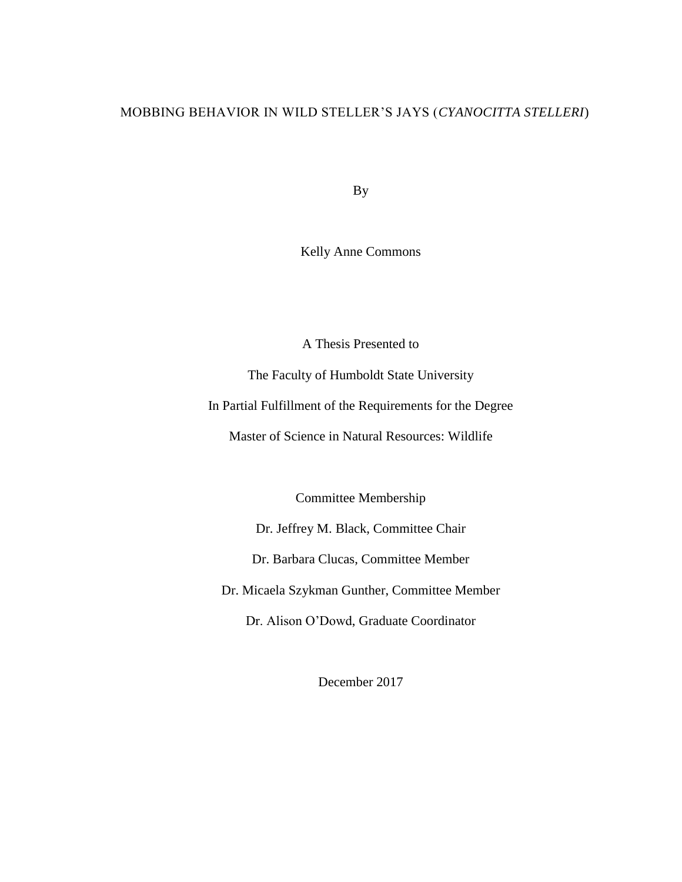# MOBBING BEHAVIOR IN WILD STELLER'S JAYS (*CYANOCITTA STELLERI*)

By

Kelly Anne Commons

A Thesis Presented to

The Faculty of Humboldt State University

In Partial Fulfillment of the Requirements for the Degree

Master of Science in Natural Resources: Wildlife

Committee Membership

Dr. Jeffrey M. Black, Committee Chair

Dr. Barbara Clucas, Committee Member

Dr. Micaela Szykman Gunther, Committee Member

Dr. Alison O'Dowd, Graduate Coordinator

December 2017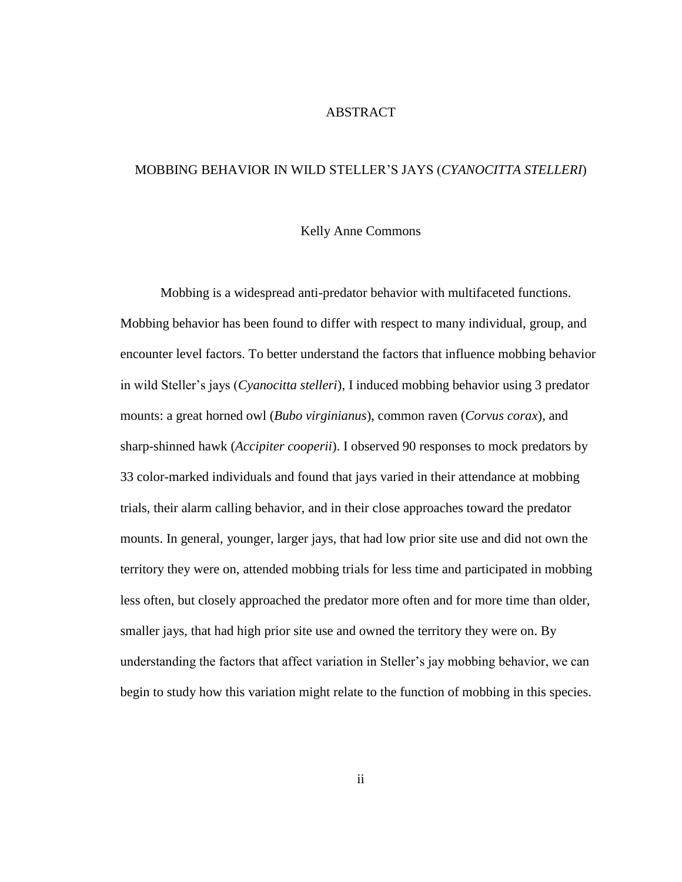### ABSTRACT

### <span id="page-1-0"></span>MOBBING BEHAVIOR IN WILD STELLER'S JAYS (*CYANOCITTA STELLERI*)

#### Kelly Anne Commons

Mobbing is a widespread anti-predator behavior with multifaceted functions. Mobbing behavior has been found to differ with respect to many individual, group, and encounter level factors. To better understand the factors that influence mobbing behavior in wild Steller's jays (*Cyanocitta stelleri*), I induced mobbing behavior using 3 predator mounts: a great horned owl (*Bubo virginianus*), common raven (*Corvus corax*), and sharp-shinned hawk (*Accipiter cooperii*). I observed 90 responses to mock predators by 33 color-marked individuals and found that jays varied in their attendance at mobbing trials, their alarm calling behavior, and in their close approaches toward the predator mounts. In general, younger, larger jays, that had low prior site use and did not own the territory they were on, attended mobbing trials for less time and participated in mobbing less often, but closely approached the predator more often and for more time than older, smaller jays, that had high prior site use and owned the territory they were on. By understanding the factors that affect variation in Steller's jay mobbing behavior, we can begin to study how this variation might relate to the function of mobbing in this species.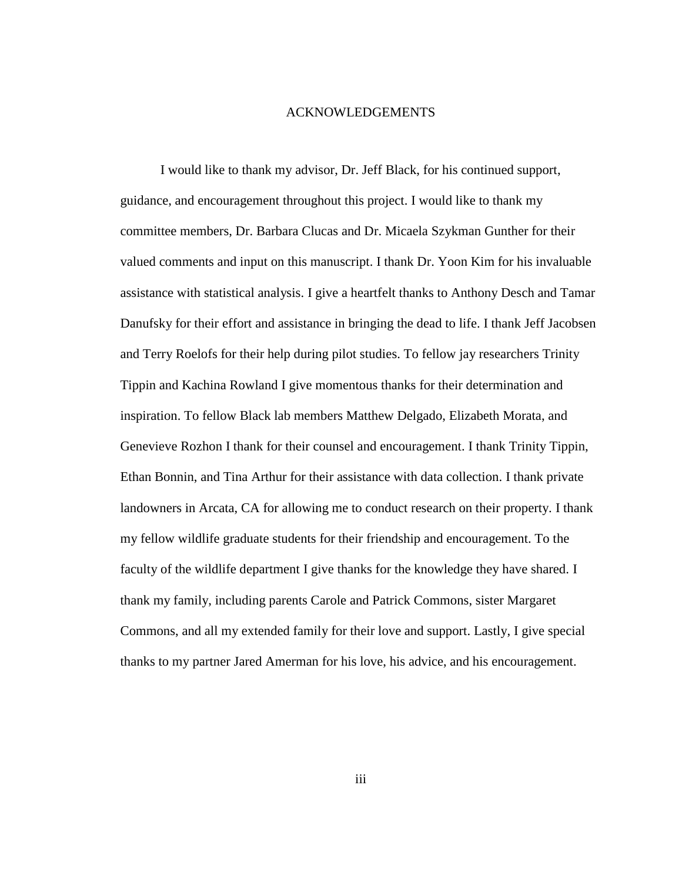#### ACKNOWLEDGEMENTS

<span id="page-2-0"></span>I would like to thank my advisor, Dr. Jeff Black, for his continued support, guidance, and encouragement throughout this project. I would like to thank my committee members, Dr. Barbara Clucas and Dr. Micaela Szykman Gunther for their valued comments and input on this manuscript. I thank Dr. Yoon Kim for his invaluable assistance with statistical analysis. I give a heartfelt thanks to Anthony Desch and Tamar Danufsky for their effort and assistance in bringing the dead to life. I thank Jeff Jacobsen and Terry Roelofs for their help during pilot studies. To fellow jay researchers Trinity Tippin and Kachina Rowland I give momentous thanks for their determination and inspiration. To fellow Black lab members Matthew Delgado, Elizabeth Morata, and Genevieve Rozhon I thank for their counsel and encouragement. I thank Trinity Tippin, Ethan Bonnin, and Tina Arthur for their assistance with data collection. I thank private landowners in Arcata, CA for allowing me to conduct research on their property. I thank my fellow wildlife graduate students for their friendship and encouragement. To the faculty of the wildlife department I give thanks for the knowledge they have shared. I thank my family, including parents Carole and Patrick Commons, sister Margaret Commons, and all my extended family for their love and support. Lastly, I give special thanks to my partner Jared Amerman for his love, his advice, and his encouragement.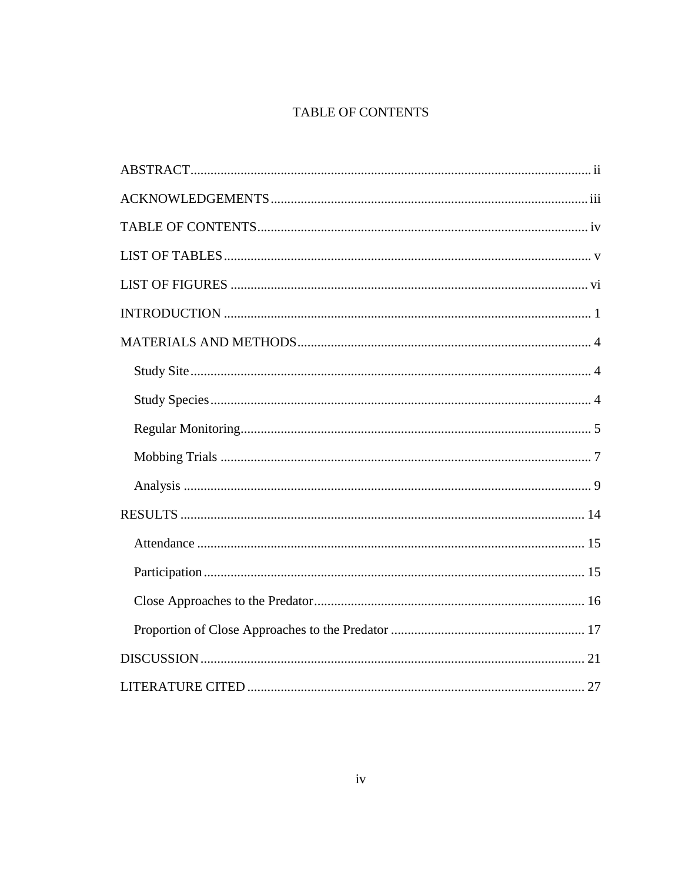# TABLE OF CONTENTS

<span id="page-3-0"></span>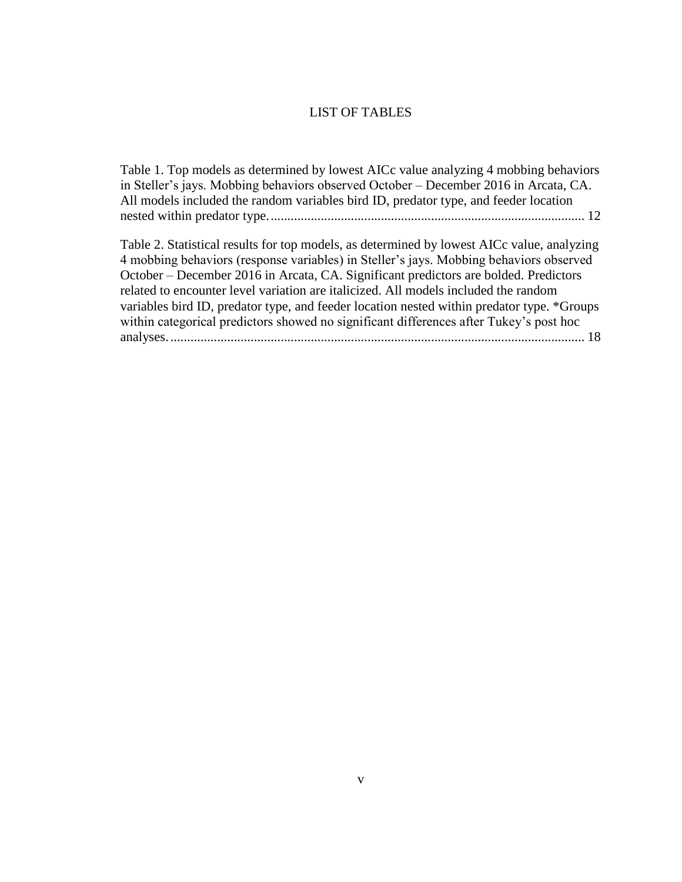### LIST OF TABLES

<span id="page-4-0"></span>[Table 1. Top models as determined by lowest AICc value analyzing 4 mobbing behaviors](#page-17-0)  [in Steller's jays. Mobbing behaviors observed October –](#page-17-0) December 2016 in Arcata, CA. [All models included the random variables bird ID, predator type, and feeder location](#page-17-0)  [nested within predator type...............................................................................................](#page-17-0) 12

Table 2. [Statistical results for top models, as determined by lowest AICc value, analyzing](#page-23-0)  [4 mobbing behaviors \(response variables\) in Steller's jays. Mobbing behaviors observed](#page-23-0)  October – [December 2016 in Arcata, CA. Significant predictors are bolded. Predictors](#page-23-0)  [related to encounter level variation are italicized. All models included the random](#page-23-0)  [variables bird ID, predator type, and feeder location nested within predator type. \\*Groups](#page-23-0)  [within categorical predictors showed no significant differences after Tukey's post](#page-23-0) hoc [analyses.............................................................................................................................](#page-23-0) 18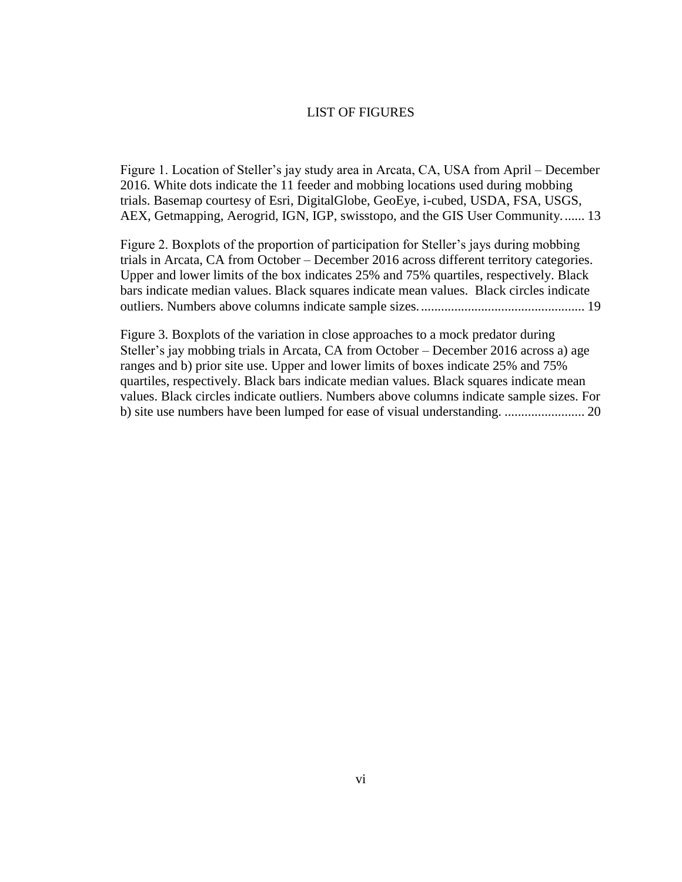### LIST OF FIGURES

<span id="page-5-0"></span>[Figure 1. Location of Steller's jay study area in Arcata, CA, USA from April –](#page-18-0) December [2016. White dots indicate the 11 feeder and mobbing locations used during mobbing](#page-18-0)  [trials. Basemap courtesy of Esri, DigitalGlobe, GeoEye, i-cubed, USDA, FSA, USGS,](#page-18-0)  [AEX, Getmapping, Aerogrid, IGN, IGP, swisstopo, and the GIS User Community.......](#page-18-0) 13

[Figure 2. Boxplots of the proportion of participation for Steller's jays during mobbing](#page-24-0)  trials in Arcata, CA from October – [December 2016 across different territory categories.](#page-24-0)  [Upper and lower limits of the box indicates 25% and 75% quartiles, respectively. Black](#page-24-0)  [bars indicate median values. Black squares indicate mean values. Black circles indicate](#page-24-0)  [outliers. Numbers above columns indicate sample sizes..................................................](#page-24-0) 19

[Figure 3. Boxplots of the variation in close approaches to a mock predator during](#page-25-0)  [Steller's jay mobbing trials in Arcata, CA from October –](#page-25-0) December 2016 across a) age [ranges and b\) prior site use. Upper and lower limits of boxes indicate 25% and 75%](#page-25-0)  [quartiles, respectively. Black bars indicate median values. Black squares indicate mean](#page-25-0)  values. Black [circles indicate outliers. Numbers above columns indicate sample sizes. For](#page-25-0)  [b\) site use numbers have been lumped for ease of visual understanding.](#page-25-0) ........................ 20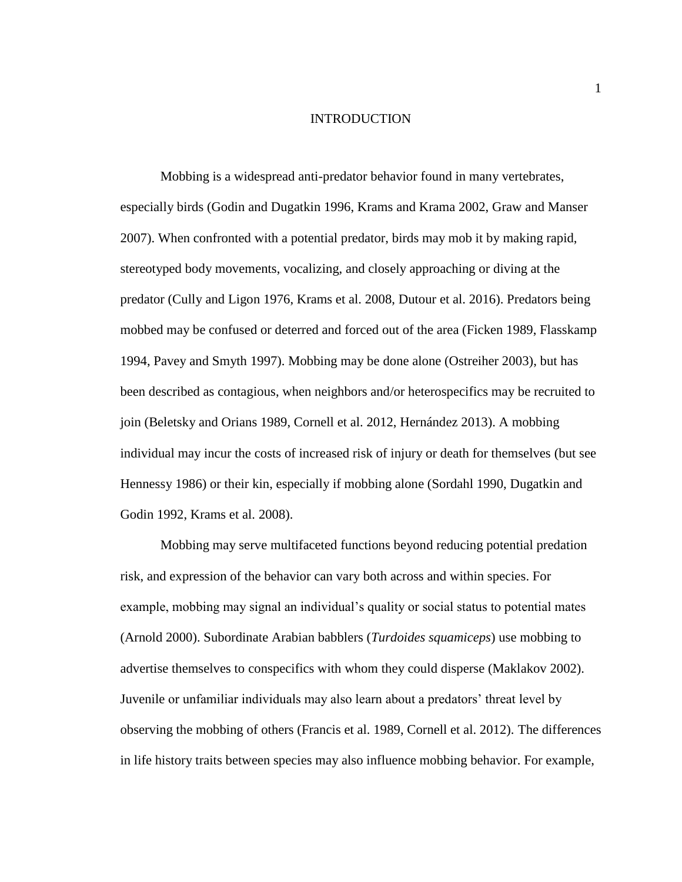### INTRODUCTION

<span id="page-6-0"></span>Mobbing is a widespread anti-predator behavior found in many vertebrates, especially birds (Godin and Dugatkin 1996, Krams and Krama 2002, Graw and Manser 2007). When confronted with a potential predator, birds may mob it by making rapid, stereotyped body movements, vocalizing, and closely approaching or diving at the predator (Cully and Ligon 1976, Krams et al. 2008, Dutour et al. 2016). Predators being mobbed may be confused or deterred and forced out of the area (Ficken 1989, Flasskamp 1994, Pavey and Smyth 1997). Mobbing may be done alone (Ostreiher 2003), but has been described as contagious, when neighbors and/or heterospecifics may be recruited to join (Beletsky and Orians 1989, Cornell et al. 2012, Hernández 2013). A mobbing individual may incur the costs of increased risk of injury or death for themselves (but see Hennessy 1986) or their kin, especially if mobbing alone (Sordahl 1990, Dugatkin and Godin 1992, Krams et al. 2008).

Mobbing may serve multifaceted functions beyond reducing potential predation risk, and expression of the behavior can vary both across and within species. For example, mobbing may signal an individual's quality or social status to potential mates (Arnold 2000). Subordinate Arabian babblers (*Turdoides squamiceps*) use mobbing to advertise themselves to conspecifics with whom they could disperse (Maklakov 2002). Juvenile or unfamiliar individuals may also learn about a predators' threat level by observing the mobbing of others (Francis et al. 1989, Cornell et al. 2012). The differences in life history traits between species may also influence mobbing behavior. For example,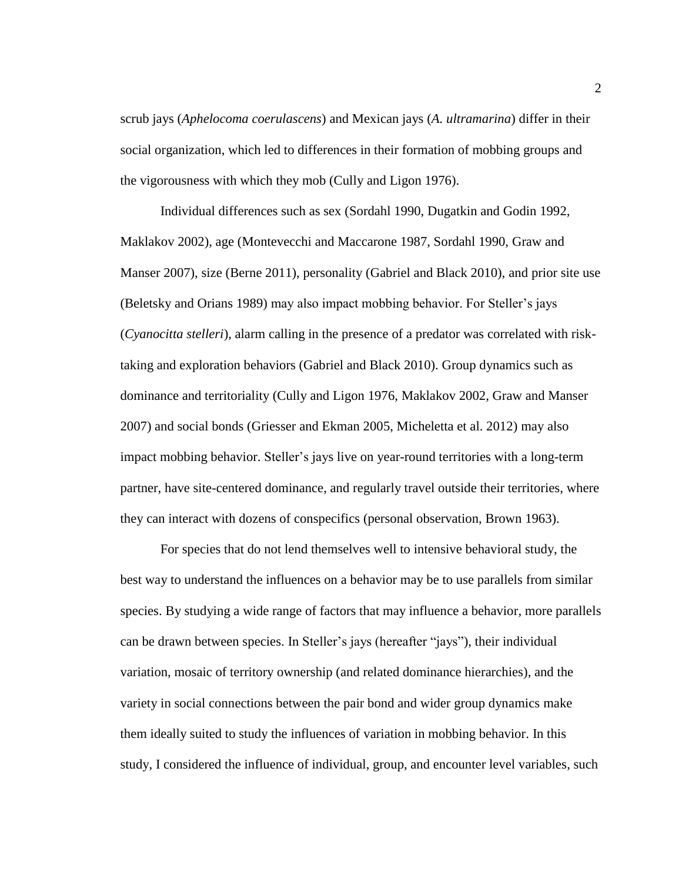scrub jays (*Aphelocoma coerulascens*) and Mexican jays (*A. ultramarina*) differ in their social organization, which led to differences in their formation of mobbing groups and the vigorousness with which they mob (Cully and Ligon 1976).

Individual differences such as sex (Sordahl 1990, Dugatkin and Godin 1992, Maklakov 2002), age (Montevecchi and Maccarone 1987, Sordahl 1990, Graw and Manser 2007), size (Berne 2011), personality (Gabriel and Black 2010), and prior site use (Beletsky and Orians 1989) may also impact mobbing behavior. For Steller's jays (*Cyanocitta stelleri*), alarm calling in the presence of a predator was correlated with risktaking and exploration behaviors (Gabriel and Black 2010). Group dynamics such as dominance and territoriality (Cully and Ligon 1976, Maklakov 2002, Graw and Manser 2007) and social bonds (Griesser and Ekman 2005, Micheletta et al. 2012) may also impact mobbing behavior. Steller's jays live on year-round territories with a long-term partner, have site-centered dominance, and regularly travel outside their territories, where they can interact with dozens of conspecifics (personal observation, Brown 1963).

For species that do not lend themselves well to intensive behavioral study, the best way to understand the influences on a behavior may be to use parallels from similar species. By studying a wide range of factors that may influence a behavior, more parallels can be drawn between species. In Steller's jays (hereafter "jays"), their individual variation, mosaic of territory ownership (and related dominance hierarchies), and the variety in social connections between the pair bond and wider group dynamics make them ideally suited to study the influences of variation in mobbing behavior. In this study, I considered the influence of individual, group, and encounter level variables, such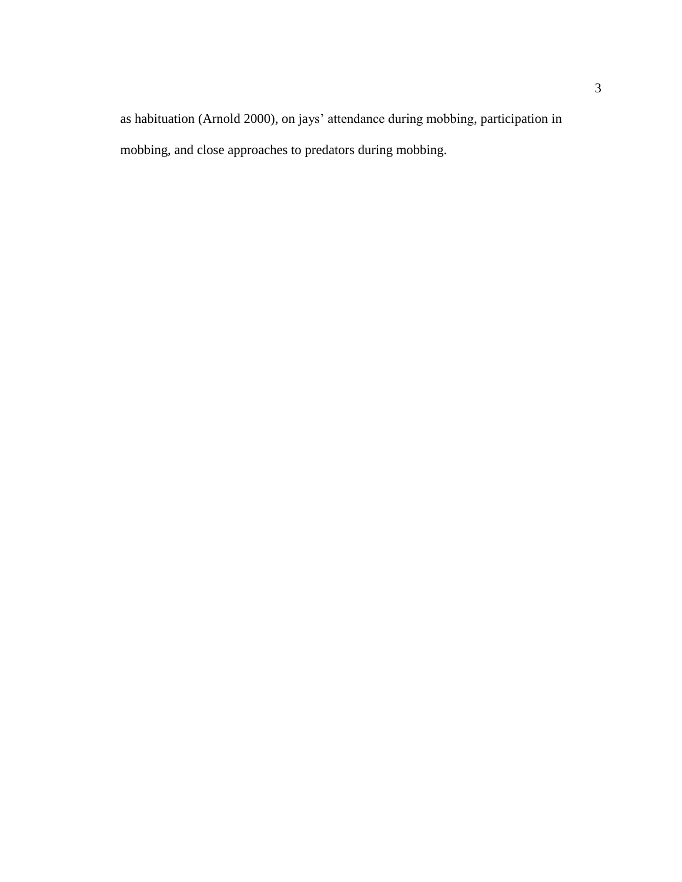as habituation (Arnold 2000), on jays' attendance during mobbing, participation in mobbing, and close approaches to predators during mobbing.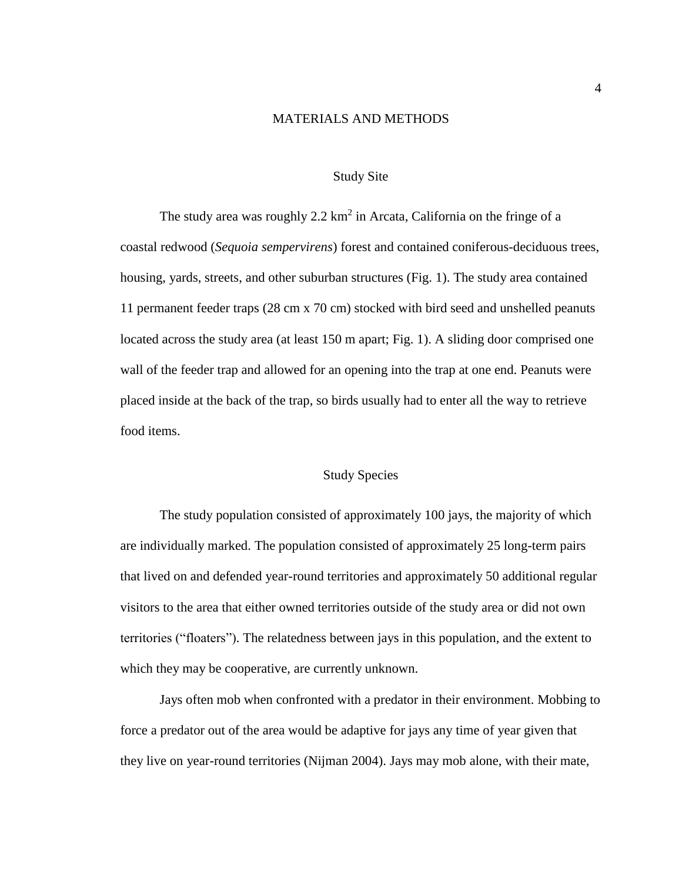## MATERIALS AND METHODS

### Study Site

<span id="page-9-1"></span><span id="page-9-0"></span>The study area was roughly  $2.2 \text{ km}^2$  in Arcata, California on the fringe of a coastal redwood (*Sequoia sempervirens*) forest and contained coniferous-deciduous trees, housing, yards, streets, and other suburban structures (Fig. 1). The study area contained 11 permanent feeder traps (28 cm x 70 cm) stocked with bird seed and unshelled peanuts located across the study area (at least 150 m apart; Fig. 1). A sliding door comprised one wall of the feeder trap and allowed for an opening into the trap at one end. Peanuts were placed inside at the back of the trap, so birds usually had to enter all the way to retrieve food items.

### Study Species

<span id="page-9-2"></span>The study population consisted of approximately 100 jays, the majority of which are individually marked. The population consisted of approximately 25 long-term pairs that lived on and defended year-round territories and approximately 50 additional regular visitors to the area that either owned territories outside of the study area or did not own territories ("floaters"). The relatedness between jays in this population, and the extent to which they may be cooperative, are currently unknown.

Jays often mob when confronted with a predator in their environment. Mobbing to force a predator out of the area would be adaptive for jays any time of year given that they live on year-round territories (Nijman 2004). Jays may mob alone, with their mate,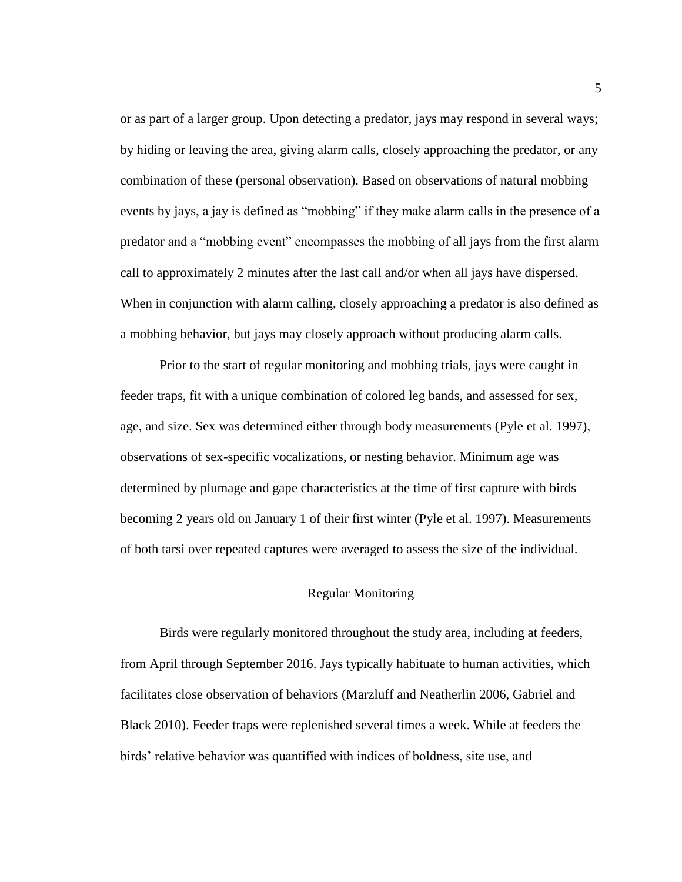or as part of a larger group. Upon detecting a predator, jays may respond in several ways; by hiding or leaving the area, giving alarm calls, closely approaching the predator, or any combination of these (personal observation). Based on observations of natural mobbing events by jays, a jay is defined as "mobbing" if they make alarm calls in the presence of a predator and a "mobbing event" encompasses the mobbing of all jays from the first alarm call to approximately 2 minutes after the last call and/or when all jays have dispersed. When in conjunction with alarm calling, closely approaching a predator is also defined as a mobbing behavior, but jays may closely approach without producing alarm calls.

Prior to the start of regular monitoring and mobbing trials, jays were caught in feeder traps, fit with a unique combination of colored leg bands, and assessed for sex, age, and size. Sex was determined either through body measurements (Pyle et al. 1997), observations of sex-specific vocalizations, or nesting behavior. Minimum age was determined by plumage and gape characteristics at the time of first capture with birds becoming 2 years old on January 1 of their first winter (Pyle et al. 1997). Measurements of both tarsi over repeated captures were averaged to assess the size of the individual.

## Regular Monitoring

<span id="page-10-0"></span>Birds were regularly monitored throughout the study area, including at feeders, from April through September 2016. Jays typically habituate to human activities, which facilitates close observation of behaviors (Marzluff and Neatherlin 2006, Gabriel and Black 2010). Feeder traps were replenished several times a week. While at feeders the birds' relative behavior was quantified with indices of boldness, site use, and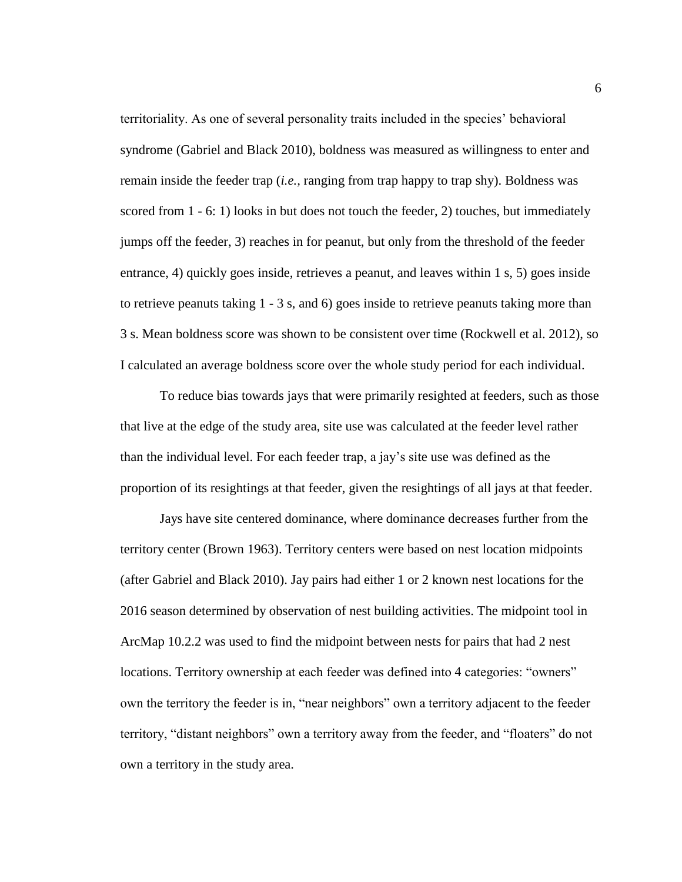territoriality. As one of several personality traits included in the species' behavioral syndrome (Gabriel and Black 2010), boldness was measured as willingness to enter and remain inside the feeder trap (*i.e.,* ranging from trap happy to trap shy). Boldness was scored from 1 - 6: 1) looks in but does not touch the feeder, 2) touches, but immediately jumps off the feeder, 3) reaches in for peanut, but only from the threshold of the feeder entrance, 4) quickly goes inside, retrieves a peanut, and leaves within 1 s, 5) goes inside to retrieve peanuts taking 1 - 3 s, and 6) goes inside to retrieve peanuts taking more than 3 s. Mean boldness score was shown to be consistent over time (Rockwell et al. 2012), so I calculated an average boldness score over the whole study period for each individual.

To reduce bias towards jays that were primarily resighted at feeders, such as those that live at the edge of the study area, site use was calculated at the feeder level rather than the individual level. For each feeder trap, a jay's site use was defined as the proportion of its resightings at that feeder, given the resightings of all jays at that feeder.

Jays have site centered dominance, where dominance decreases further from the territory center (Brown 1963). Territory centers were based on nest location midpoints (after Gabriel and Black 2010). Jay pairs had either 1 or 2 known nest locations for the 2016 season determined by observation of nest building activities. The midpoint tool in ArcMap 10.2.2 was used to find the midpoint between nests for pairs that had 2 nest locations. Territory ownership at each feeder was defined into 4 categories: "owners" own the territory the feeder is in, "near neighbors" own a territory adjacent to the feeder territory, "distant neighbors" own a territory away from the feeder, and "floaters" do not own a territory in the study area.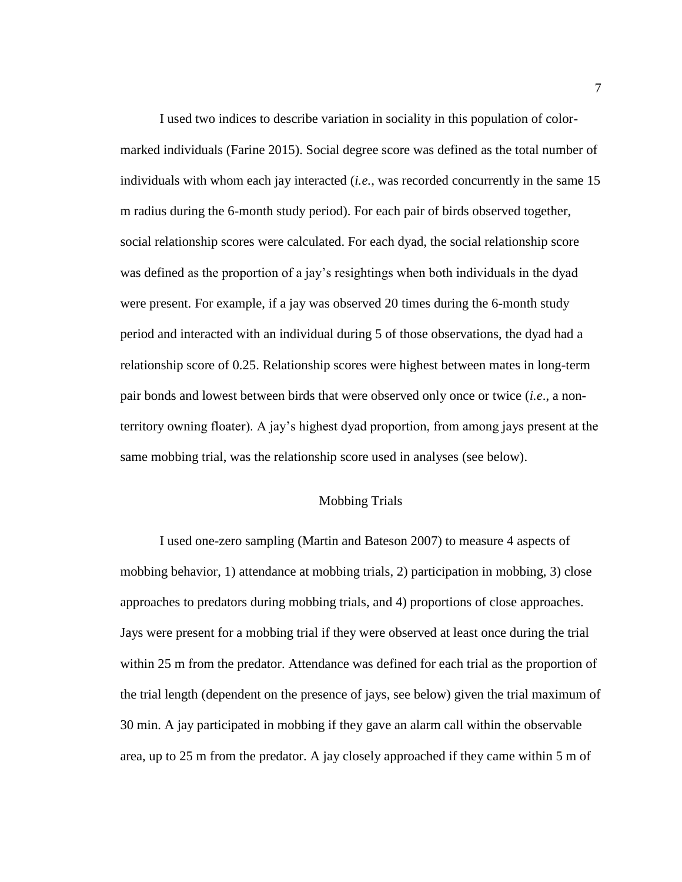I used two indices to describe variation in sociality in this population of colormarked individuals (Farine 2015). Social degree score was defined as the total number of individuals with whom each jay interacted (*i.e.*, was recorded concurrently in the same 15 m radius during the 6-month study period). For each pair of birds observed together, social relationship scores were calculated. For each dyad, the social relationship score was defined as the proportion of a jay's resightings when both individuals in the dyad were present. For example, if a jay was observed 20 times during the 6-month study period and interacted with an individual during 5 of those observations, the dyad had a relationship score of 0.25. Relationship scores were highest between mates in long-term pair bonds and lowest between birds that were observed only once or twice (*i.e*., a nonterritory owning floater). A jay's highest dyad proportion, from among jays present at the same mobbing trial, was the relationship score used in analyses (see below).

#### Mobbing Trials

<span id="page-12-0"></span>I used one-zero sampling (Martin and Bateson 2007) to measure 4 aspects of mobbing behavior, 1) attendance at mobbing trials, 2) participation in mobbing, 3) close approaches to predators during mobbing trials, and 4) proportions of close approaches. Jays were present for a mobbing trial if they were observed at least once during the trial within 25 m from the predator. Attendance was defined for each trial as the proportion of the trial length (dependent on the presence of jays, see below) given the trial maximum of 30 min. A jay participated in mobbing if they gave an alarm call within the observable area, up to 25 m from the predator. A jay closely approached if they came within 5 m of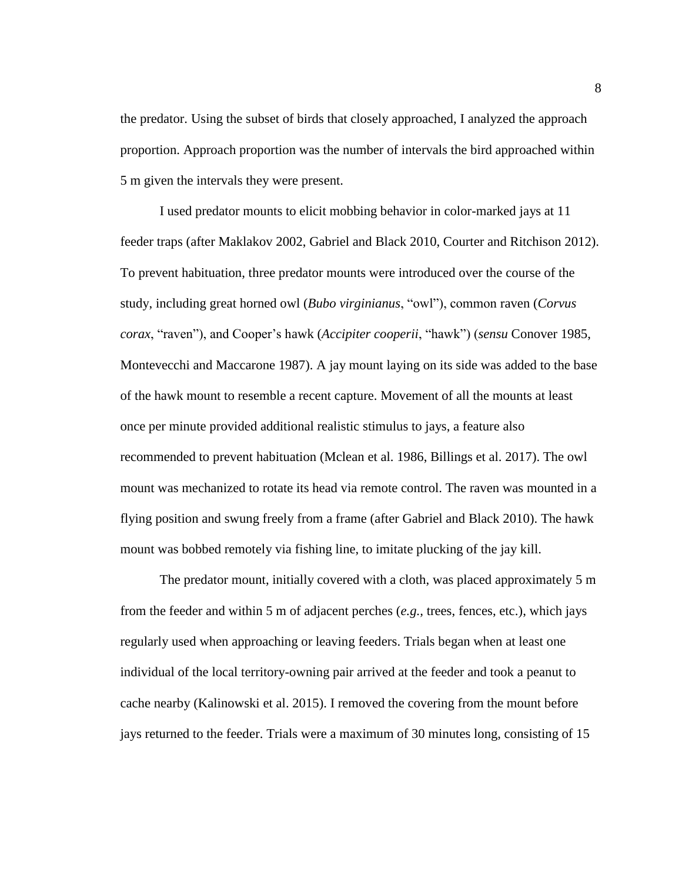the predator. Using the subset of birds that closely approached, I analyzed the approach proportion. Approach proportion was the number of intervals the bird approached within 5 m given the intervals they were present.

I used predator mounts to elicit mobbing behavior in color-marked jays at 11 feeder traps (after Maklakov 2002, Gabriel and Black 2010, Courter and Ritchison 2012). To prevent habituation, three predator mounts were introduced over the course of the study, including great horned owl (*Bubo virginianus*, "owl"), common raven (*Corvus corax*, "raven"), and Cooper's hawk (*Accipiter cooperii*, "hawk") (*sensu* Conover 1985, Montevecchi and Maccarone 1987). A jay mount laying on its side was added to the base of the hawk mount to resemble a recent capture. Movement of all the mounts at least once per minute provided additional realistic stimulus to jays, a feature also recommended to prevent habituation (Mclean et al. 1986, Billings et al. 2017). The owl mount was mechanized to rotate its head via remote control. The raven was mounted in a flying position and swung freely from a frame (after Gabriel and Black 2010). The hawk mount was bobbed remotely via fishing line, to imitate plucking of the jay kill.

The predator mount, initially covered with a cloth, was placed approximately 5 m from the feeder and within 5 m of adjacent perches (*e.g.,* trees, fences, etc.), which jays regularly used when approaching or leaving feeders. Trials began when at least one individual of the local territory-owning pair arrived at the feeder and took a peanut to cache nearby (Kalinowski et al. 2015). I removed the covering from the mount before jays returned to the feeder. Trials were a maximum of 30 minutes long, consisting of 15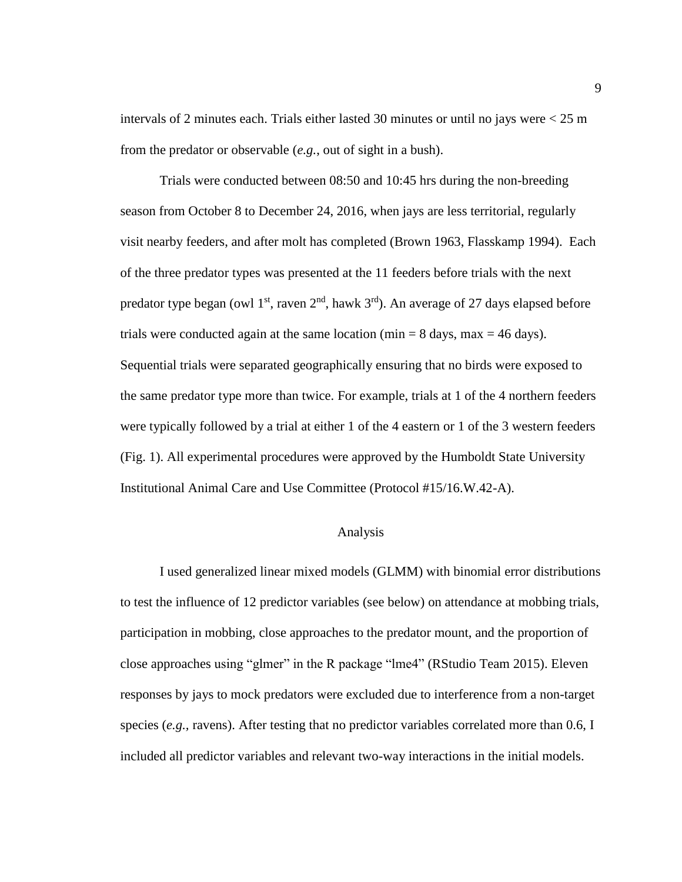intervals of 2 minutes each. Trials either lasted 30 minutes or until no jays were < 25 m from the predator or observable (*e.g.*, out of sight in a bush).

Trials were conducted between 08:50 and 10:45 hrs during the non-breeding season from October 8 to December 24, 2016, when jays are less territorial, regularly visit nearby feeders, and after molt has completed (Brown 1963, Flasskamp 1994). Each of the three predator types was presented at the 11 feeders before trials with the next predator type began (owl 1<sup>st</sup>, raven  $2<sup>nd</sup>$ , hawk  $3<sup>rd</sup>$ ). An average of 27 days elapsed before trials were conducted again at the same location (min  $= 8$  days, max  $= 46$  days). Sequential trials were separated geographically ensuring that no birds were exposed to the same predator type more than twice. For example, trials at 1 of the 4 northern feeders were typically followed by a trial at either 1 of the 4 eastern or 1 of the 3 western feeders (Fig. 1). All experimental procedures were approved by the Humboldt State University Institutional Animal Care and Use Committee (Protocol #15/16.W.42-A).

### Analysis

<span id="page-14-0"></span>I used generalized linear mixed models (GLMM) with binomial error distributions to test the influence of 12 predictor variables (see below) on attendance at mobbing trials, participation in mobbing, close approaches to the predator mount, and the proportion of close approaches using "glmer" in the R package "lme4" (RStudio Team 2015). Eleven responses by jays to mock predators were excluded due to interference from a non-target species (*e.g.,* ravens). After testing that no predictor variables correlated more than 0.6, I included all predictor variables and relevant two-way interactions in the initial models.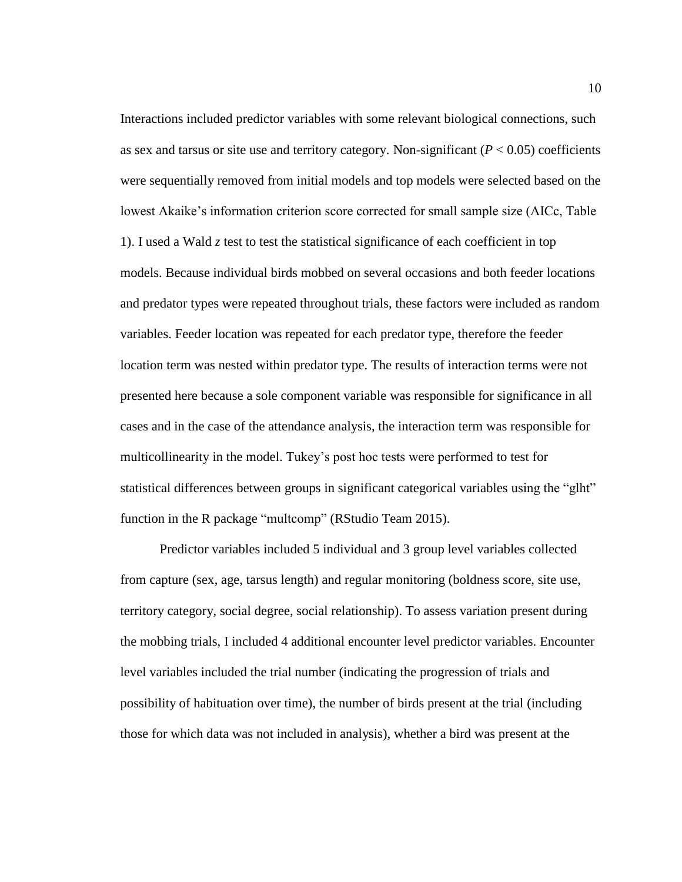Interactions included predictor variables with some relevant biological connections, such as sex and tarsus or site use and territory category. Non-significant  $(P < 0.05)$  coefficients were sequentially removed from initial models and top models were selected based on the lowest Akaike's information criterion score corrected for small sample size (AICc, Table 1). I used a Wald *z* test to test the statistical significance of each coefficient in top models. Because individual birds mobbed on several occasions and both feeder locations and predator types were repeated throughout trials, these factors were included as random variables. Feeder location was repeated for each predator type, therefore the feeder location term was nested within predator type. The results of interaction terms were not presented here because a sole component variable was responsible for significance in all cases and in the case of the attendance analysis, the interaction term was responsible for multicollinearity in the model. Tukey's post hoc tests were performed to test for statistical differences between groups in significant categorical variables using the "glht" function in the R package "multcomp" (RStudio Team 2015).

Predictor variables included 5 individual and 3 group level variables collected from capture (sex, age, tarsus length) and regular monitoring (boldness score, site use, territory category, social degree, social relationship). To assess variation present during the mobbing trials, I included 4 additional encounter level predictor variables. Encounter level variables included the trial number (indicating the progression of trials and possibility of habituation over time), the number of birds present at the trial (including those for which data was not included in analysis), whether a bird was present at the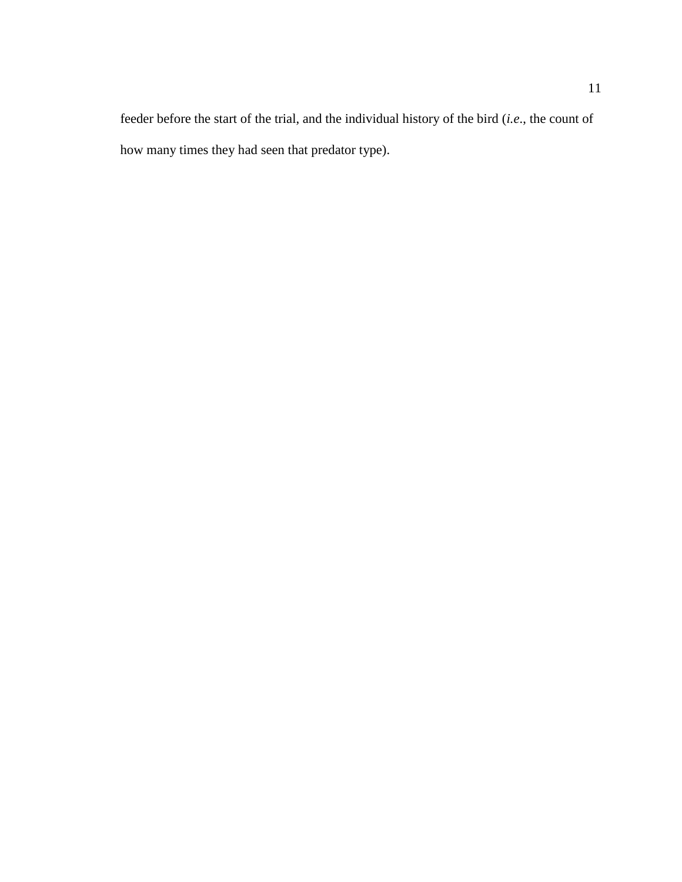feeder before the start of the trial, and the individual history of the bird (*i.e*., the count of how many times they had seen that predator type).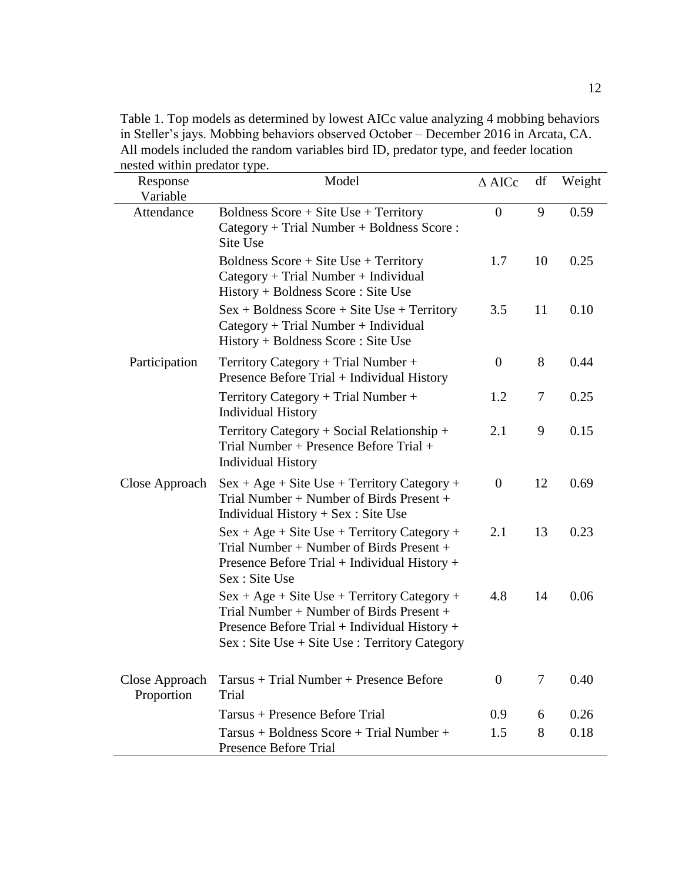<span id="page-17-0"></span>Table 1. Top models as determined by lowest AICc value analyzing 4 mobbing behaviors in Steller's jays. Mobbing behaviors observed October – December 2016 in Arcata, CA. All models included the random variables bird ID, predator type, and feeder location nested within predator type.

| hostoa within producer cype.<br>Response<br>Variable | Model                                                                                                                                                                                      | $\triangle$ AICc | df | Weight |
|------------------------------------------------------|--------------------------------------------------------------------------------------------------------------------------------------------------------------------------------------------|------------------|----|--------|
| Attendance                                           | Boldness $Score + Site Use + Territory$<br>Category + Trial Number + Boldness Score:<br>Site Use                                                                                           | $\theta$         | 9  | 0.59   |
|                                                      | Boldness $Score + Site Use + Territory$<br>Category + Trial Number + Individual<br>$History + Boldness Score : Site Use$                                                                   | 1.7              | 10 | 0.25   |
|                                                      | $Sex + Boldness Score + Site Use + Territory$<br>$Category + Trial Number + Individual$<br>History + Boldness Score : Site Use                                                             | 3.5              | 11 | 0.10   |
| Participation                                        | Territory Category + Trial Number +<br>Presence Before Trial + Individual History                                                                                                          | $\theta$         | 8  | 0.44   |
|                                                      | Territory Category + Trial Number +<br><b>Individual History</b>                                                                                                                           | 1.2              | 7  | 0.25   |
|                                                      | Territory Category + Social Relationship +<br>Trial Number + Presence Before Trial +<br><b>Individual History</b>                                                                          | 2.1              | 9  | 0.15   |
| Close Approach                                       | $Sex + Age + Site Use + Territory Categy +$<br>Trial Number + Number of Birds Present +<br>Individual History $+$ Sex : Site Use                                                           | $\theta$         | 12 | 0.69   |
|                                                      | $Sex + Age + Site Use + Territory Category +$<br>Trial Number + Number of Birds Present +<br>Presence Before Trial + Individual History +<br>Sex : Site Use                                | 2.1              | 13 | 0.23   |
|                                                      | $Sex + Age + Site Use + Territory Category +$<br>Trial Number + Number of Birds Present +<br>Presence Before Trial + Individual History +<br>Sex: Site Use + Site Use : Territory Category | 4.8              | 14 | 0.06   |
| Close Approach<br>Proportion                         | $Tarsus + Trial Number + Presence Before$<br>Trial                                                                                                                                         | $\theta$         | 7  | 0.40   |
|                                                      | Tarsus + Presence Before Trial                                                                                                                                                             | 0.9              | 6  | 0.26   |
|                                                      | $Tarsus + Boldness Score + Trial Number +$<br>Presence Before Trial                                                                                                                        | 1.5              | 8  | 0.18   |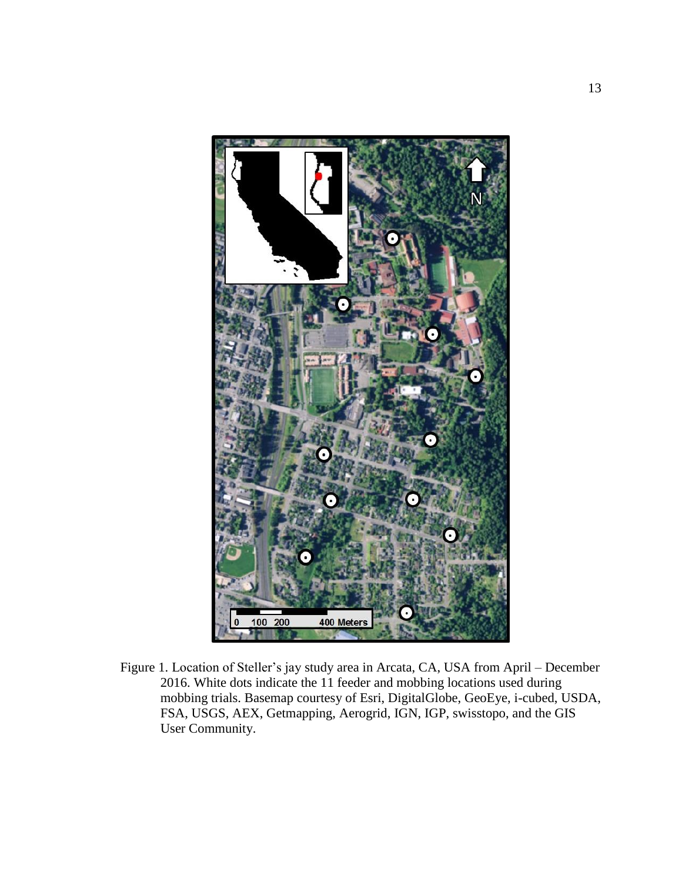

<span id="page-18-0"></span>Figure 1. Location of Steller's jay study area in Arcata, CA, USA from April – December 2016. White dots indicate the 11 feeder and mobbing locations used during mobbing trials. Basemap courtesy of Esri, DigitalGlobe, GeoEye, i-cubed, USDA, FSA, USGS, AEX, Getmapping, Aerogrid, IGN, IGP, swisstopo, and the GIS User Community.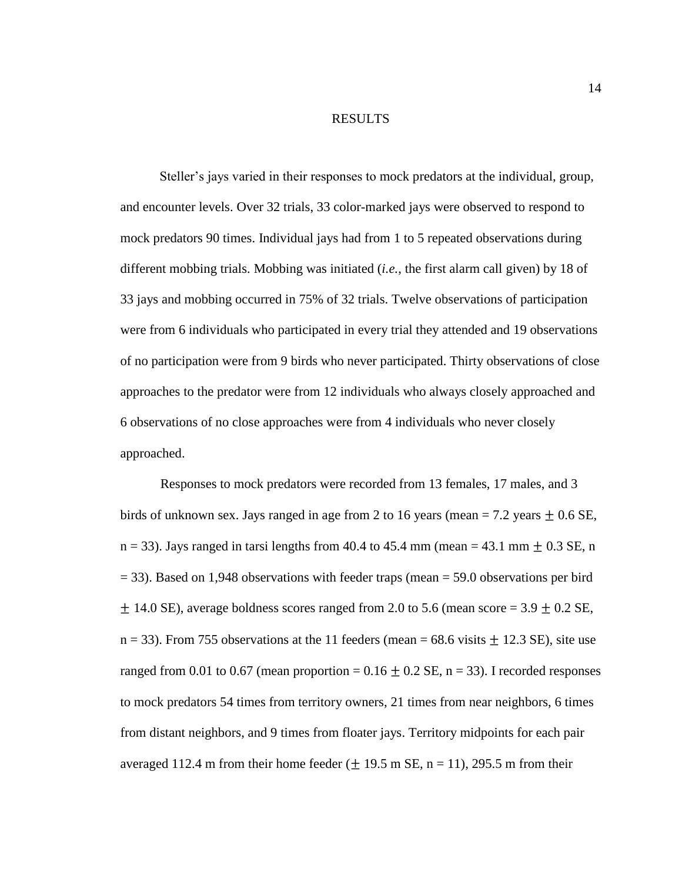#### RESULTS

<span id="page-19-0"></span>Steller's jays varied in their responses to mock predators at the individual, group, and encounter levels. Over 32 trials, 33 color-marked jays were observed to respond to mock predators 90 times. Individual jays had from 1 to 5 repeated observations during different mobbing trials. Mobbing was initiated (*i.e.*, the first alarm call given) by 18 of 33 jays and mobbing occurred in 75% of 32 trials. Twelve observations of participation were from 6 individuals who participated in every trial they attended and 19 observations of no participation were from 9 birds who never participated. Thirty observations of close approaches to the predator were from 12 individuals who always closely approached and 6 observations of no close approaches were from 4 individuals who never closely approached.

Responses to mock predators were recorded from 13 females, 17 males, and 3 birds of unknown sex. Jays ranged in age from 2 to 16 years (mean = 7.2 years  $\pm$  0.6 SE,  $n = 33$ ). Jays ranged in tarsi lengths from 40.4 to 45.4 mm (mean = 43.1 mm  $\pm$  0.3 SE, n  $= 33$ ). Based on 1,948 observations with feeder traps (mean  $= 59.0$  observations per bird  $\pm$  14.0 SE), average boldness scores ranged from 2.0 to 5.6 (mean score = 3.9  $\pm$  0.2 SE,  $n = 33$ ). From 755 observations at the 11 feeders (mean = 68.6 visits  $\pm$  12.3 SE), site use ranged from 0.01 to 0.67 (mean proportion =  $0.16 \pm 0.2$  SE, n = 33). I recorded responses to mock predators 54 times from territory owners, 21 times from near neighbors, 6 times from distant neighbors, and 9 times from floater jays. Territory midpoints for each pair averaged 112.4 m from their home feeder  $(\pm 19.5 \text{ m} \text{ S} \text{E}, \text{n} = 11)$ , 295.5 m from their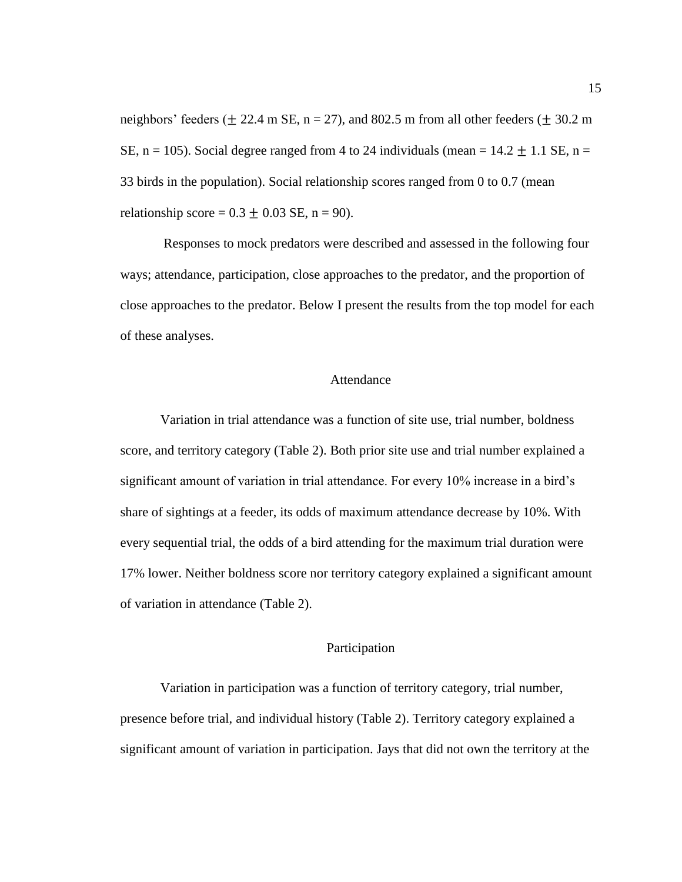neighbors' feeders ( $\pm$  22.4 m SE, n = 27), and 802.5 m from all other feeders ( $\pm$  30.2 m SE, n = 105). Social degree ranged from 4 to 24 individuals (mean =  $14.2 \pm 1.1$  SE, n = 33 birds in the population). Social relationship scores ranged from 0 to 0.7 (mean relationship score =  $0.3 \pm 0.03$  SE, n = 90).

Responses to mock predators were described and assessed in the following four ways; attendance, participation, close approaches to the predator, and the proportion of close approaches to the predator. Below I present the results from the top model for each of these analyses.

### Attendance

<span id="page-20-0"></span>Variation in trial attendance was a function of site use, trial number, boldness score, and territory category (Table 2). Both prior site use and trial number explained a significant amount of variation in trial attendance. For every 10% increase in a bird's share of sightings at a feeder, its odds of maximum attendance decrease by 10%. With every sequential trial, the odds of a bird attending for the maximum trial duration were 17% lower. Neither boldness score nor territory category explained a significant amount of variation in attendance (Table 2).

### Participation

<span id="page-20-1"></span>Variation in participation was a function of territory category, trial number, presence before trial, and individual history (Table 2). Territory category explained a significant amount of variation in participation. Jays that did not own the territory at the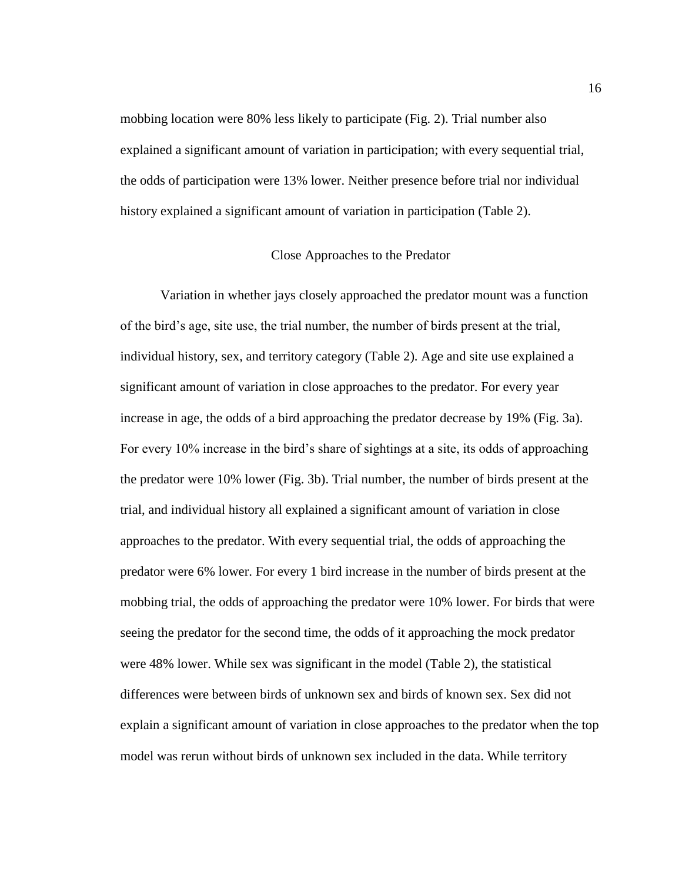mobbing location were 80% less likely to participate (Fig. 2). Trial number also explained a significant amount of variation in participation; with every sequential trial, the odds of participation were 13% lower. Neither presence before trial nor individual history explained a significant amount of variation in participation (Table 2).

#### Close Approaches to the Predator

<span id="page-21-0"></span>Variation in whether jays closely approached the predator mount was a function of the bird's age, site use, the trial number, the number of birds present at the trial, individual history, sex, and territory category (Table 2). Age and site use explained a significant amount of variation in close approaches to the predator. For every year increase in age, the odds of a bird approaching the predator decrease by 19% (Fig. 3a). For every 10% increase in the bird's share of sightings at a site, its odds of approaching the predator were 10% lower (Fig. 3b). Trial number, the number of birds present at the trial, and individual history all explained a significant amount of variation in close approaches to the predator. With every sequential trial, the odds of approaching the predator were 6% lower. For every 1 bird increase in the number of birds present at the mobbing trial, the odds of approaching the predator were 10% lower. For birds that were seeing the predator for the second time, the odds of it approaching the mock predator were 48% lower. While sex was significant in the model (Table 2), the statistical differences were between birds of unknown sex and birds of known sex. Sex did not explain a significant amount of variation in close approaches to the predator when the top model was rerun without birds of unknown sex included in the data. While territory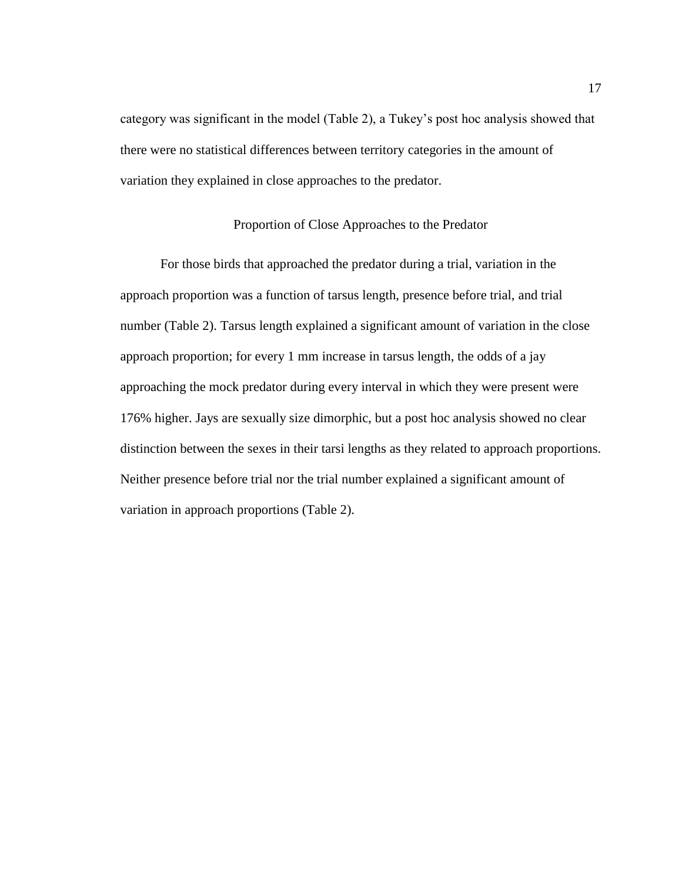category was significant in the model (Table 2), a Tukey's post hoc analysis showed that there were no statistical differences between territory categories in the amount of variation they explained in close approaches to the predator.

### Proportion of Close Approaches to the Predator

<span id="page-22-0"></span>For those birds that approached the predator during a trial, variation in the approach proportion was a function of tarsus length, presence before trial, and trial number (Table 2). Tarsus length explained a significant amount of variation in the close approach proportion; for every 1 mm increase in tarsus length, the odds of a jay approaching the mock predator during every interval in which they were present were 176% higher. Jays are sexually size dimorphic, but a post hoc analysis showed no clear distinction between the sexes in their tarsi lengths as they related to approach proportions. Neither presence before trial nor the trial number explained a significant amount of variation in approach proportions (Table 2).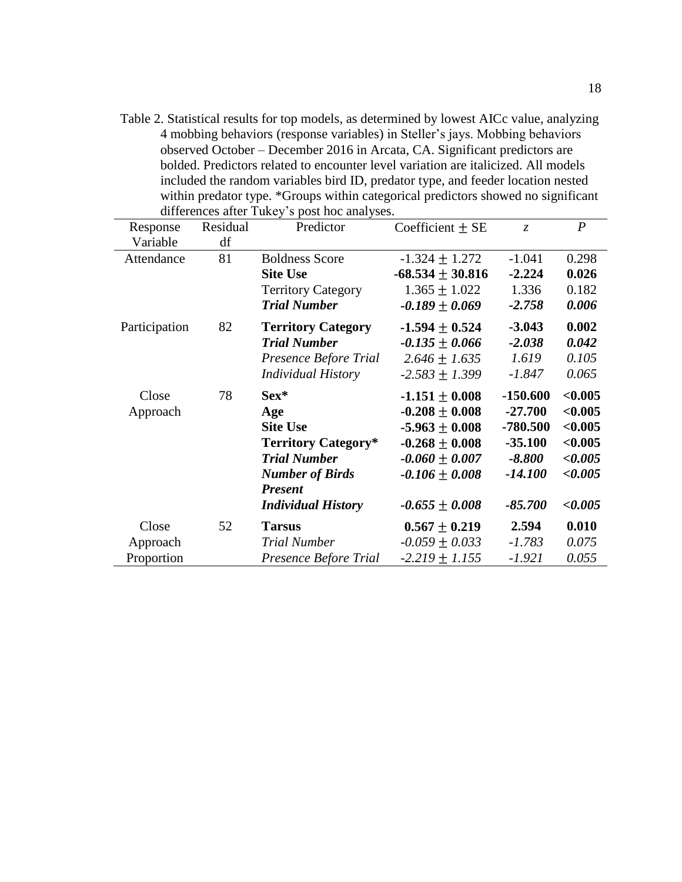<span id="page-23-0"></span>Table 2. Statistical results for top models, as determined by lowest AICc value, analyzing 4 mobbing behaviors (response variables) in Steller's jays. Mobbing behaviors observed October – December 2016 in Arcata, CA. Significant predictors are bolded. Predictors related to encounter level variation are italicized. All models included the random variables bird ID, predator type, and feeder location nested within predator type. \*Groups within categorical predictors showed no significant differences after Tukey's post hoc analyses.

| Response      | $\ldots$<br>Residual | $\sim$ poor nor unargoed<br>Predictor | Coefficient $\pm$ SE | $Z_{\cdot}$ | $\boldsymbol{P}$ |
|---------------|----------------------|---------------------------------------|----------------------|-------------|------------------|
| Variable      | df                   |                                       |                      |             |                  |
| Attendance    | 81                   | <b>Boldness Score</b>                 | $-1.324 \pm 1.272$   | $-1.041$    | 0.298            |
|               |                      | <b>Site Use</b>                       | $-68.534 \pm 30.816$ | $-2.224$    | 0.026            |
|               |                      | <b>Territory Category</b>             | $1.365 \pm 1.022$    | 1.336       | 0.182            |
|               |                      | <b>Trial Number</b>                   | $-0.189 \pm 0.069$   | $-2.758$    | 0.006            |
| Participation | 82                   | <b>Territory Category</b>             | $-1.594 \pm 0.524$   | $-3.043$    | 0.002            |
|               |                      | <b>Trial Number</b>                   | $-0.135 \pm 0.066$   | $-2.038$    | 0.042            |
|               |                      | Presence Before Trial                 | $2.646 \pm 1.635$    | 1.619       | 0.105            |
|               |                      | <b>Individual History</b>             | $-2.583 \pm 1.399$   | $-1.847$    | 0.065            |
| Close         | 78                   | $Sex*$                                | $-1.151 \pm 0.008$   | $-150.600$  | < 0.005          |
| Approach      |                      | Age                                   | $-0.208 \pm 0.008$   | $-27.700$   | < 0.005          |
|               |                      | <b>Site Use</b>                       | $-5.963 \pm 0.008$   | $-780.500$  | < 0.005          |
|               |                      | <b>Territory Category*</b>            | $-0.268 \pm 0.008$   | $-35.100$   | < 0.005          |
|               |                      | <b>Trial Number</b>                   | $-0.060 \pm 0.007$   | $-8.800$    | < 0.005          |
|               |                      | <b>Number of Birds</b>                | $-0.106 \pm 0.008$   | $-14.100$   | < 0.005          |
|               |                      | <b>Present</b>                        |                      |             |                  |
|               |                      | <b>Individual History</b>             | $-0.655 \pm 0.008$   | $-85.700$   | < 0.005          |
| Close         | 52                   | <b>Tarsus</b>                         | $0.567 \pm 0.219$    | 2.594       | 0.010            |
| Approach      |                      | <b>Trial Number</b>                   | $-0.059 \pm 0.033$   | $-1.783$    | 0.075            |
| Proportion    |                      | Presence Before Trial                 | $-2.219 \pm 1.155$   | $-1.921$    | 0.055            |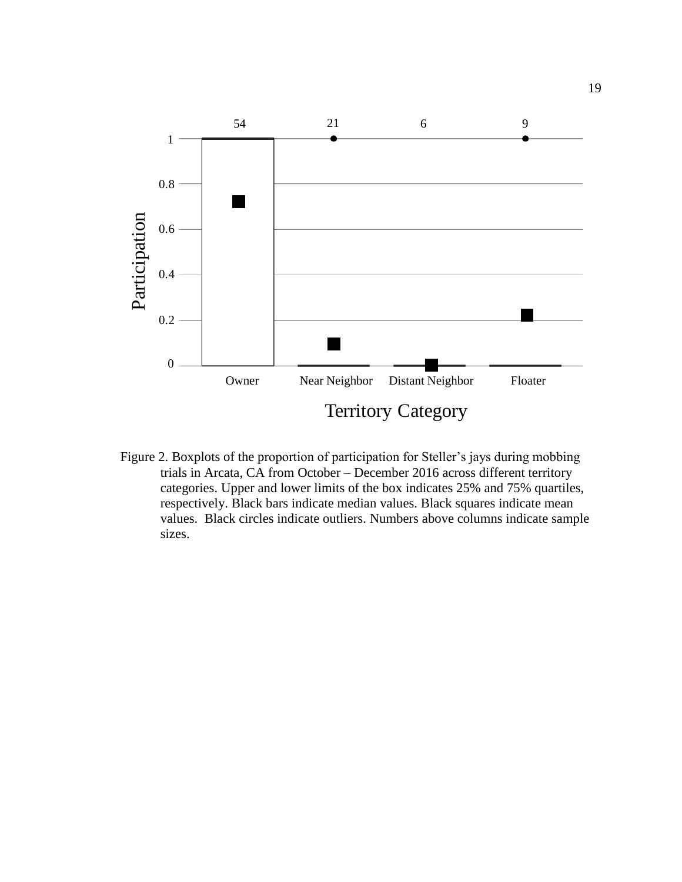

<span id="page-24-0"></span>Figure 2. Boxplots of the proportion of participation for Steller's jays during mobbing trials in Arcata, CA from October – December 2016 across different territory categories. Upper and lower limits of the box indicates 25% and 75% quartiles, respectively. Black bars indicate median values. Black squares indicate mean values. Black circles indicate outliers. Numbers above columns indicate sample sizes.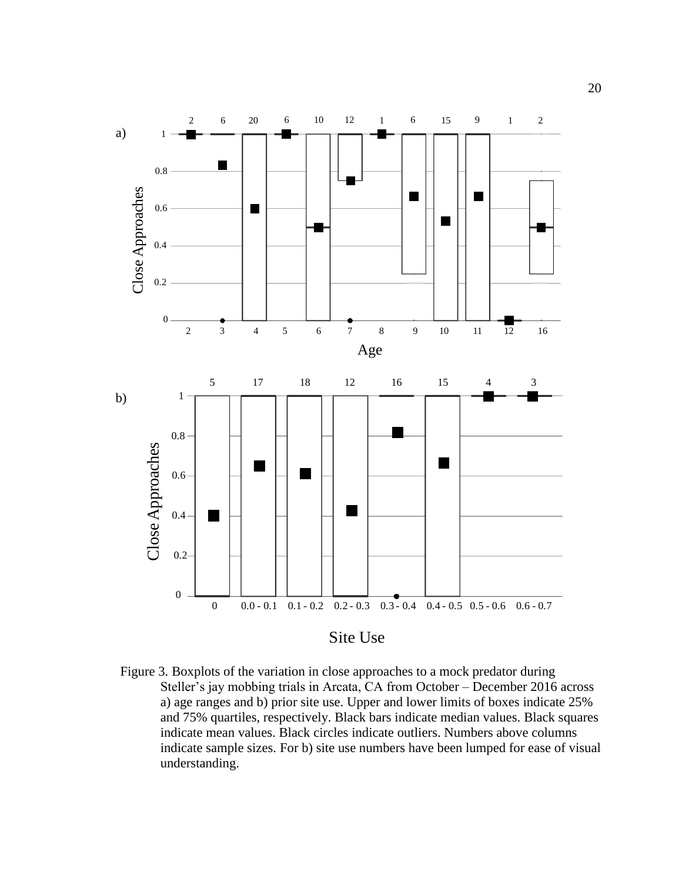

<span id="page-25-0"></span>Figure 3. Boxplots of the variation in close approaches to a mock predator during Steller's jay mobbing trials in Arcata, CA from October – December 2016 across a) age ranges and b) prior site use. Upper and lower limits of boxes indicate 25% and 75% quartiles, respectively. Black bars indicate median values. Black squares indicate mean values. Black circles indicate outliers. Numbers above columns indicate sample sizes. For b) site use numbers have been lumped for ease of visual understanding.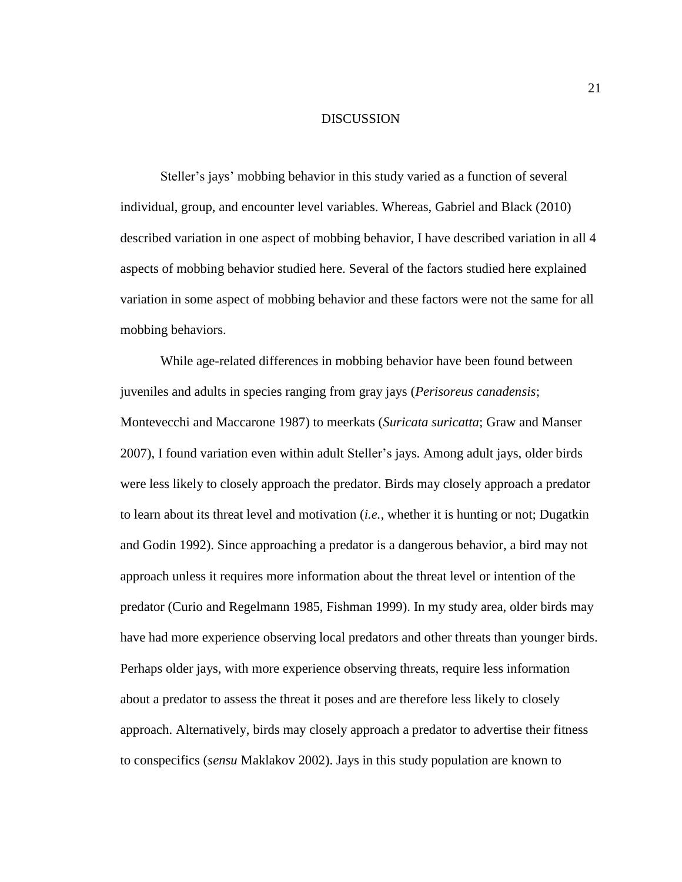### DISCUSSION

<span id="page-26-0"></span>Steller's jays' mobbing behavior in this study varied as a function of several individual, group, and encounter level variables. Whereas, Gabriel and Black (2010) described variation in one aspect of mobbing behavior, I have described variation in all 4 aspects of mobbing behavior studied here. Several of the factors studied here explained variation in some aspect of mobbing behavior and these factors were not the same for all mobbing behaviors.

While age-related differences in mobbing behavior have been found between juveniles and adults in species ranging from gray jays (*Perisoreus canadensis*; Montevecchi and Maccarone 1987) to meerkats (*Suricata suricatta*; Graw and Manser 2007), I found variation even within adult Steller's jays. Among adult jays, older birds were less likely to closely approach the predator. Birds may closely approach a predator to learn about its threat level and motivation (*i.e.,* whether it is hunting or not; Dugatkin and Godin 1992). Since approaching a predator is a dangerous behavior, a bird may not approach unless it requires more information about the threat level or intention of the predator (Curio and Regelmann 1985, Fishman 1999). In my study area, older birds may have had more experience observing local predators and other threats than younger birds. Perhaps older jays, with more experience observing threats, require less information about a predator to assess the threat it poses and are therefore less likely to closely approach. Alternatively, birds may closely approach a predator to advertise their fitness to conspecifics (*sensu* Maklakov 2002). Jays in this study population are known to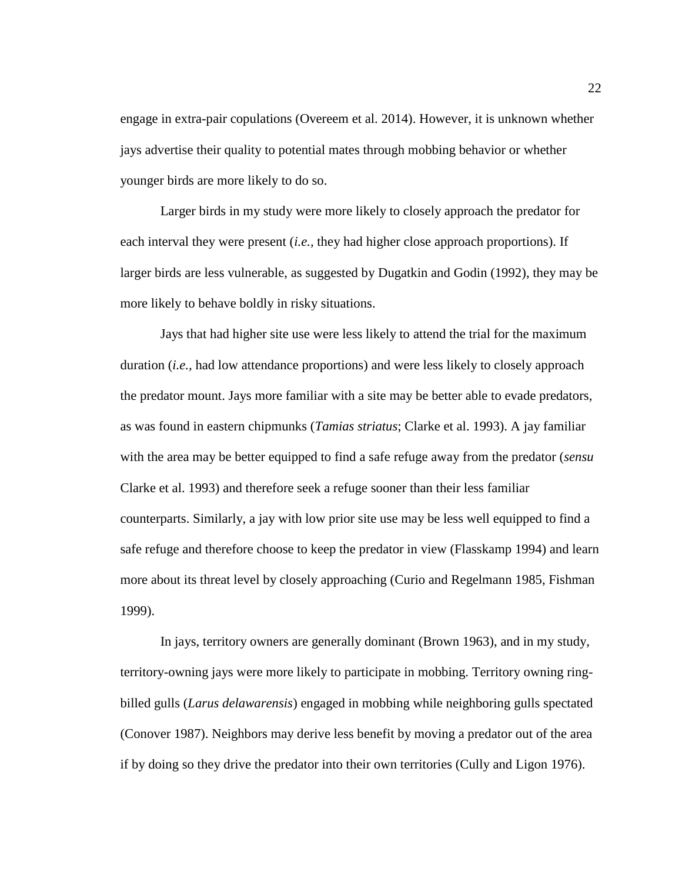engage in extra-pair copulations (Overeem et al. 2014). However, it is unknown whether jays advertise their quality to potential mates through mobbing behavior or whether younger birds are more likely to do so.

Larger birds in my study were more likely to closely approach the predator for each interval they were present (*i.e.,* they had higher close approach proportions). If larger birds are less vulnerable, as suggested by Dugatkin and Godin (1992), they may be more likely to behave boldly in risky situations.

Jays that had higher site use were less likely to attend the trial for the maximum duration (*i.e.,* had low attendance proportions) and were less likely to closely approach the predator mount. Jays more familiar with a site may be better able to evade predators, as was found in eastern chipmunks (*Tamias striatus*; Clarke et al. 1993). A jay familiar with the area may be better equipped to find a safe refuge away from the predator (*sensu* Clarke et al. 1993) and therefore seek a refuge sooner than their less familiar counterparts. Similarly, a jay with low prior site use may be less well equipped to find a safe refuge and therefore choose to keep the predator in view (Flasskamp 1994) and learn more about its threat level by closely approaching (Curio and Regelmann 1985, Fishman 1999).

In jays, territory owners are generally dominant (Brown 1963), and in my study, territory-owning jays were more likely to participate in mobbing. Territory owning ringbilled gulls (*Larus delawarensis*) engaged in mobbing while neighboring gulls spectated (Conover 1987). Neighbors may derive less benefit by moving a predator out of the area if by doing so they drive the predator into their own territories (Cully and Ligon 1976).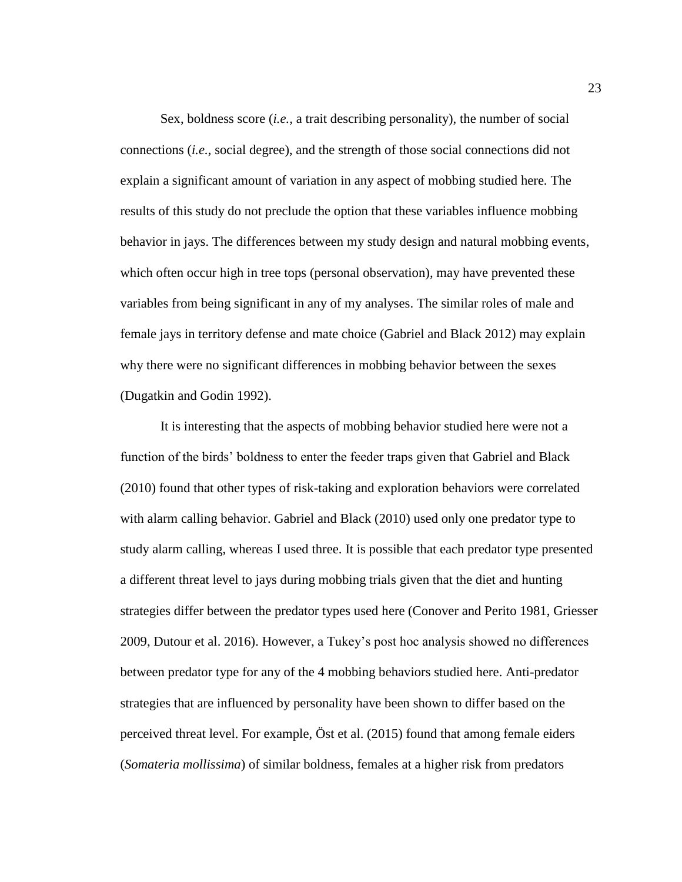Sex, boldness score (*i.e.,* a trait describing personality), the number of social connections (*i.e.*, social degree), and the strength of those social connections did not explain a significant amount of variation in any aspect of mobbing studied here. The results of this study do not preclude the option that these variables influence mobbing behavior in jays. The differences between my study design and natural mobbing events, which often occur high in tree tops (personal observation), may have prevented these variables from being significant in any of my analyses. The similar roles of male and female jays in territory defense and mate choice (Gabriel and Black 2012) may explain why there were no significant differences in mobbing behavior between the sexes (Dugatkin and Godin 1992).

It is interesting that the aspects of mobbing behavior studied here were not a function of the birds' boldness to enter the feeder traps given that Gabriel and Black (2010) found that other types of risk-taking and exploration behaviors were correlated with alarm calling behavior. Gabriel and Black (2010) used only one predator type to study alarm calling, whereas I used three. It is possible that each predator type presented a different threat level to jays during mobbing trials given that the diet and hunting strategies differ between the predator types used here (Conover and Perito 1981, Griesser 2009, Dutour et al. 2016). However, a Tukey's post hoc analysis showed no differences between predator type for any of the 4 mobbing behaviors studied here. Anti-predator strategies that are influenced by personality have been shown to differ based on the perceived threat level. For example, Öst et al. (2015) found that among female eiders (*Somateria mollissima*) of similar boldness, females at a higher risk from predators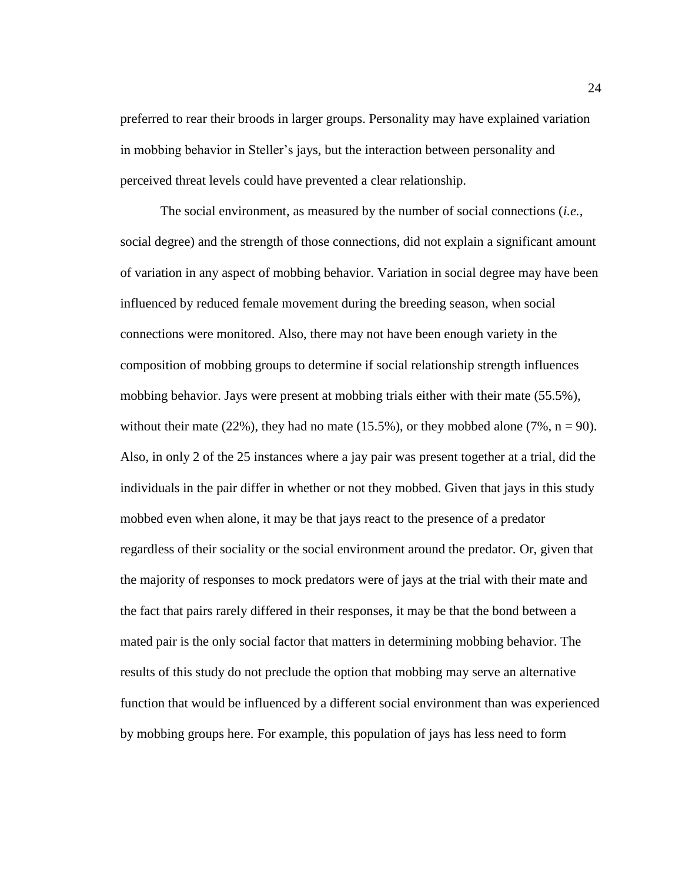preferred to rear their broods in larger groups. Personality may have explained variation in mobbing behavior in Steller's jays, but the interaction between personality and perceived threat levels could have prevented a clear relationship.

The social environment, as measured by the number of social connections (*i.e.,* social degree) and the strength of those connections, did not explain a significant amount of variation in any aspect of mobbing behavior. Variation in social degree may have been influenced by reduced female movement during the breeding season, when social connections were monitored. Also, there may not have been enough variety in the composition of mobbing groups to determine if social relationship strength influences mobbing behavior. Jays were present at mobbing trials either with their mate (55.5%), without their mate (22%), they had no mate (15.5%), or they mobbed alone (7%,  $n = 90$ ). Also, in only 2 of the 25 instances where a jay pair was present together at a trial, did the individuals in the pair differ in whether or not they mobbed. Given that jays in this study mobbed even when alone, it may be that jays react to the presence of a predator regardless of their sociality or the social environment around the predator. Or, given that the majority of responses to mock predators were of jays at the trial with their mate and the fact that pairs rarely differed in their responses, it may be that the bond between a mated pair is the only social factor that matters in determining mobbing behavior. The results of this study do not preclude the option that mobbing may serve an alternative function that would be influenced by a different social environment than was experienced by mobbing groups here. For example, this population of jays has less need to form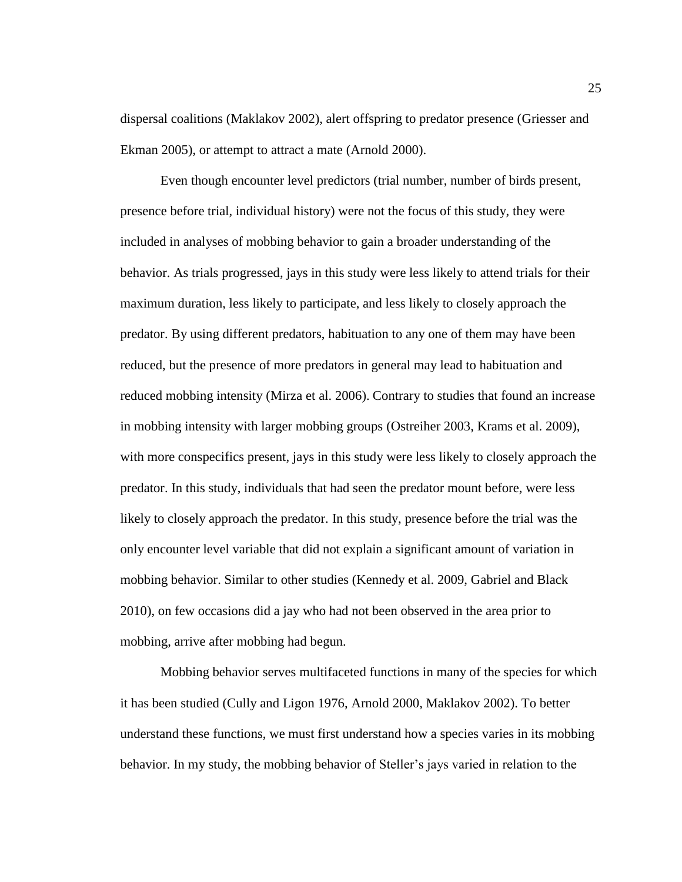dispersal coalitions (Maklakov 2002), alert offspring to predator presence (Griesser and Ekman 2005), or attempt to attract a mate (Arnold 2000).

Even though encounter level predictors (trial number, number of birds present, presence before trial, individual history) were not the focus of this study, they were included in analyses of mobbing behavior to gain a broader understanding of the behavior. As trials progressed, jays in this study were less likely to attend trials for their maximum duration, less likely to participate, and less likely to closely approach the predator. By using different predators, habituation to any one of them may have been reduced, but the presence of more predators in general may lead to habituation and reduced mobbing intensity (Mirza et al. 2006). Contrary to studies that found an increase in mobbing intensity with larger mobbing groups (Ostreiher 2003, Krams et al. 2009), with more conspecifics present, jays in this study were less likely to closely approach the predator. In this study, individuals that had seen the predator mount before, were less likely to closely approach the predator. In this study, presence before the trial was the only encounter level variable that did not explain a significant amount of variation in mobbing behavior. Similar to other studies (Kennedy et al. 2009, Gabriel and Black 2010), on few occasions did a jay who had not been observed in the area prior to mobbing, arrive after mobbing had begun.

Mobbing behavior serves multifaceted functions in many of the species for which it has been studied (Cully and Ligon 1976, Arnold 2000, Maklakov 2002). To better understand these functions, we must first understand how a species varies in its mobbing behavior. In my study, the mobbing behavior of Steller's jays varied in relation to the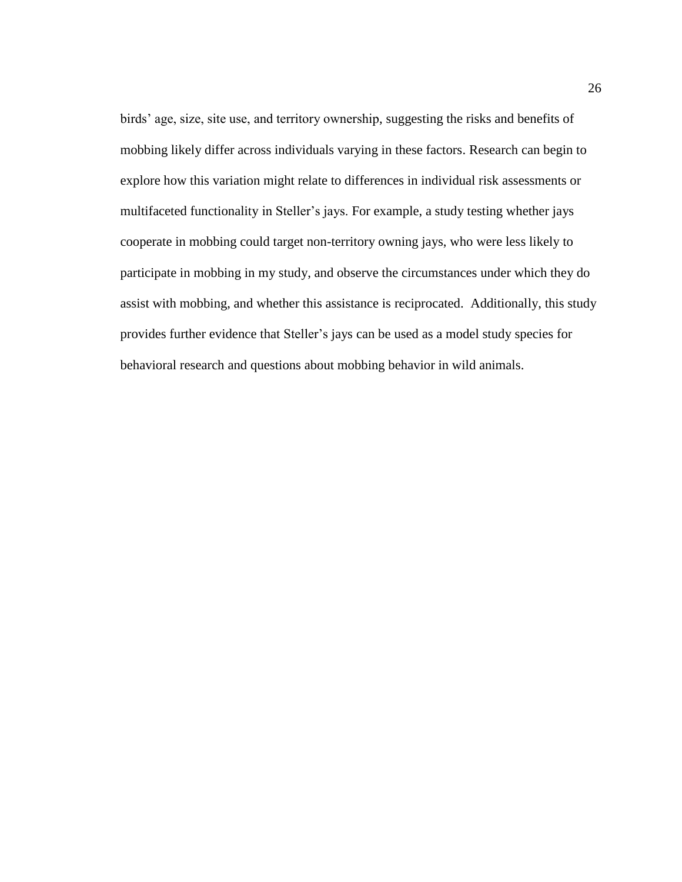birds' age, size, site use, and territory ownership, suggesting the risks and benefits of mobbing likely differ across individuals varying in these factors. Research can begin to explore how this variation might relate to differences in individual risk assessments or multifaceted functionality in Steller's jays. For example, a study testing whether jays cooperate in mobbing could target non-territory owning jays, who were less likely to participate in mobbing in my study, and observe the circumstances under which they do assist with mobbing, and whether this assistance is reciprocated. Additionally, this study provides further evidence that Steller's jays can be used as a model study species for behavioral research and questions about mobbing behavior in wild animals.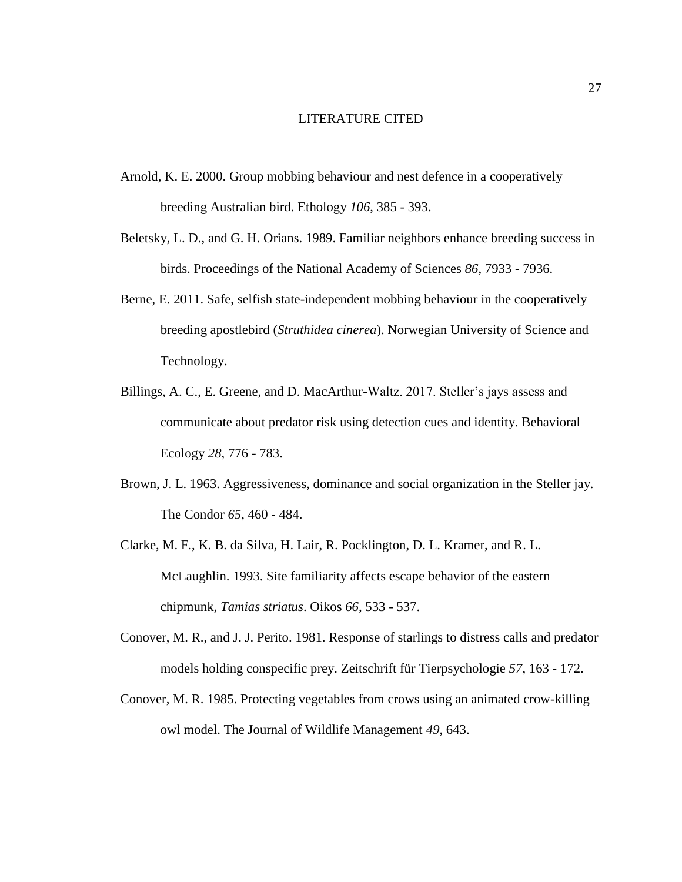### LITERATURE CITED

- <span id="page-32-0"></span>Arnold, K. E. 2000. Group mobbing behaviour and nest defence in a cooperatively breeding Australian bird. Ethology *106*, 385 - 393.
- Beletsky, L. D., and G. H. Orians. 1989. Familiar neighbors enhance breeding success in birds. Proceedings of the National Academy of Sciences *86*, 7933 - 7936.
- Berne, E. 2011. Safe, selfish state-independent mobbing behaviour in the cooperatively breeding apostlebird (*Struthidea cinerea*). Norwegian University of Science and Technology.
- Billings, A. C., E. Greene, and D. MacArthur-Waltz. 2017. Steller's jays assess and communicate about predator risk using detection cues and identity. Behavioral Ecology *28*, 776 - 783.
- Brown, J. L. 1963. Aggressiveness, dominance and social organization in the Steller jay. The Condor *65*, 460 - 484.
- Clarke, M. F., K. B. da Silva, H. Lair, R. Pocklington, D. L. Kramer, and R. L. McLaughlin. 1993. Site familiarity affects escape behavior of the eastern chipmunk, *Tamias striatus*. Oikos *66*, 533 - 537.
- Conover, M. R., and J. J. Perito. 1981. Response of starlings to distress calls and predator models holding conspecific prey. Zeitschrift für Tierpsychologie *57*, 163 - 172.
- Conover, M. R. 1985. Protecting vegetables from crows using an animated crow-killing owl model. The Journal of Wildlife Management *49*, 643.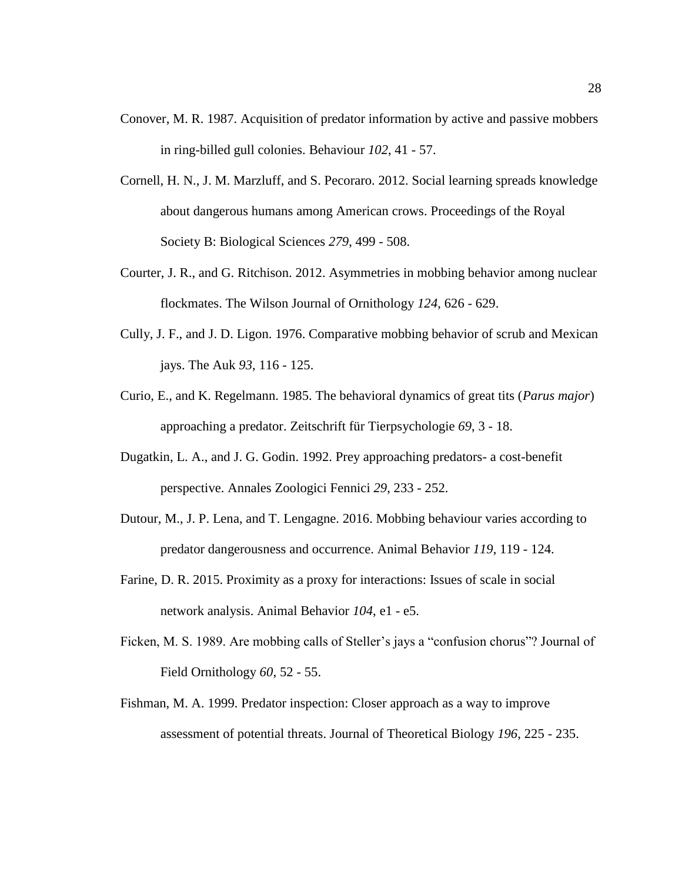- Conover, M. R. 1987. Acquisition of predator information by active and passive mobbers in ring-billed gull colonies. Behaviour *102*, 41 - 57.
- Cornell, H. N., J. M. Marzluff, and S. Pecoraro. 2012. Social learning spreads knowledge about dangerous humans among American crows. Proceedings of the Royal Society B: Biological Sciences *279*, 499 - 508.
- Courter, J. R., and G. Ritchison. 2012. Asymmetries in mobbing behavior among nuclear flockmates. The Wilson Journal of Ornithology *124*, 626 - 629.
- Cully, J. F., and J. D. Ligon. 1976. Comparative mobbing behavior of scrub and Mexican jays. The Auk *93*, 116 - 125.
- Curio, E., and K. Regelmann. 1985. The behavioral dynamics of great tits (*Parus major*) approaching a predator. Zeitschrift für Tierpsychologie *69*, 3 - 18.
- Dugatkin, L. A., and J. G. Godin. 1992. Prey approaching predators- a cost-benefit perspective. Annales Zoologici Fennici *29*, 233 - 252.
- Dutour, M., J. P. Lena, and T. Lengagne. 2016. Mobbing behaviour varies according to predator dangerousness and occurrence. Animal Behavior *119*, 119 - 124.
- Farine, D. R. 2015. Proximity as a proxy for interactions: Issues of scale in social network analysis. Animal Behavior *104*, e1 - e5.
- Ficken, M. S. 1989. Are mobbing calls of Steller's jays a "confusion chorus"? Journal of Field Ornithology *60*, 52 - 55.
- Fishman, M. A. 1999. Predator inspection: Closer approach as a way to improve assessment of potential threats. Journal of Theoretical Biology *196*, 225 - 235.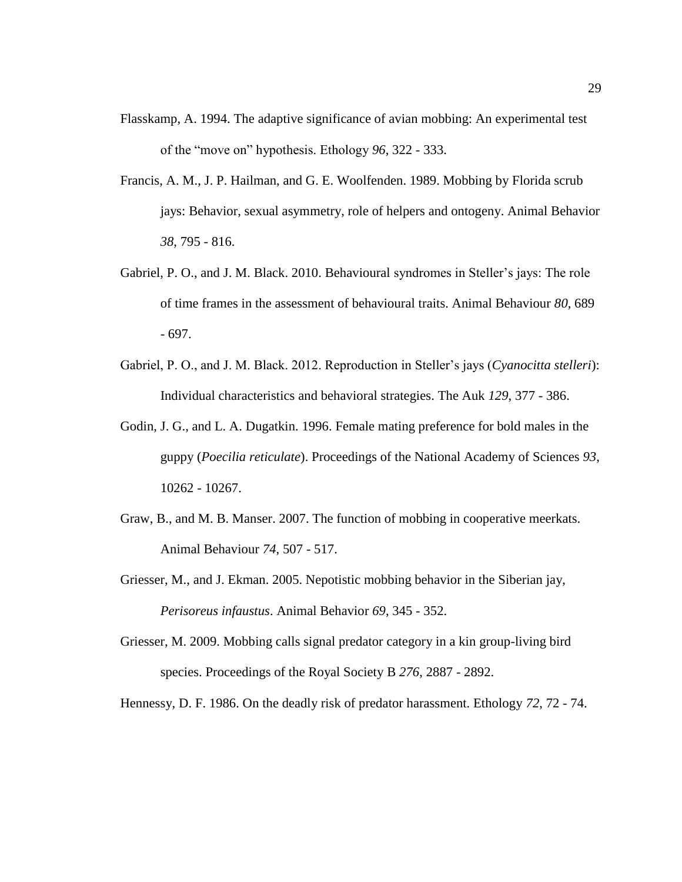- Flasskamp, A. 1994. The adaptive significance of avian mobbing: An experimental test of the "move on" hypothesis. Ethology *96*, 322 - 333.
- Francis, A. M., J. P. Hailman, and G. E. Woolfenden. 1989. Mobbing by Florida scrub jays: Behavior, sexual asymmetry, role of helpers and ontogeny. Animal Behavior *38*, 795 - 816.
- Gabriel, P. O., and J. M. Black. 2010. Behavioural syndromes in Steller's jays: The role of time frames in the assessment of behavioural traits. Animal Behaviour *80*, 689 - 697.
- Gabriel, P. O., and J. M. Black. 2012. Reproduction in Steller's jays (*Cyanocitta stelleri*): Individual characteristics and behavioral strategies. The Auk *129*, 377 - 386.
- Godin, J. G., and L. A. Dugatkin. 1996. Female mating preference for bold males in the guppy (*Poecilia reticulate*). Proceedings of the National Academy of Sciences *93*, 10262 - 10267.
- Graw, B., and M. B. Manser. 2007. The function of mobbing in cooperative meerkats. Animal Behaviour *74*, 507 - 517.
- Griesser, M., and J. Ekman. 2005. Nepotistic mobbing behavior in the Siberian jay, *Perisoreus infaustus*. Animal Behavior *69*, 345 - 352.
- Griesser, M. 2009. Mobbing calls signal predator category in a kin group-living bird species. Proceedings of the Royal Society B *276*, 2887 - 2892.

Hennessy, D. F. 1986. On the deadly risk of predator harassment. Ethology *72*, 72 - 74.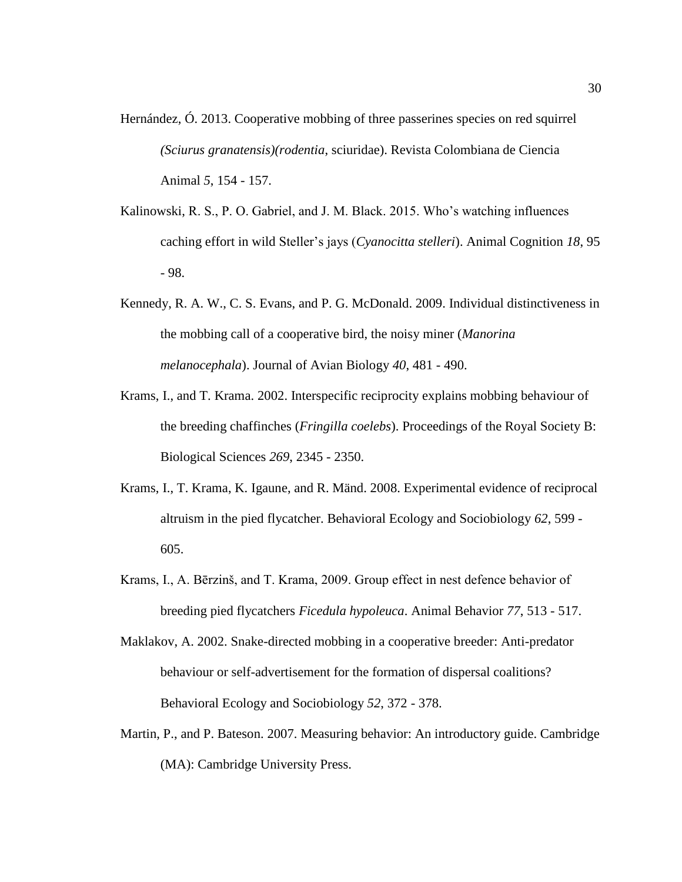- Hernández, Ó. 2013. Cooperative mobbing of three passerines species on red squirrel *(Sciurus granatensis)(rodentia*, sciuridae). Revista Colombiana de Ciencia Animal *5*, 154 - 157.
- Kalinowski, R. S., P. O. Gabriel, and J. M. Black. 2015. Who's watching influences caching effort in wild Steller's jays (*Cyanocitta stelleri*). Animal Cognition *18*, 95 - 98.
- Kennedy, R. A. W., C. S. Evans, and P. G. McDonald. 2009. Individual distinctiveness in the mobbing call of a cooperative bird, the noisy miner (*Manorina melanocephala*). Journal of Avian Biology *40*, 481 - 490.
- Krams, I., and T. Krama. 2002. Interspecific reciprocity explains mobbing behaviour of the breeding chaffinches (*Fringilla coelebs*). Proceedings of the Royal Society B: Biological Sciences *269*, 2345 - 2350.
- Krams, I., T. Krama, K. Igaune, and R. Mänd. 2008. Experimental evidence of reciprocal altruism in the pied flycatcher. Behavioral Ecology and Sociobiology *62*, 599 - 605.
- Krams, I., A. Bērzinš, and T. Krama, 2009. Group effect in nest defence behavior of breeding pied flycatchers *Ficedula hypoleuca*. Animal Behavior *77*, 513 - 517.
- Maklakov, A. 2002. Snake-directed mobbing in a cooperative breeder: Anti-predator behaviour or self-advertisement for the formation of dispersal coalitions? Behavioral Ecology and Sociobiology *52*, 372 - 378.
- Martin, P., and P. Bateson. 2007. Measuring behavior: An introductory guide. Cambridge (MA): Cambridge University Press.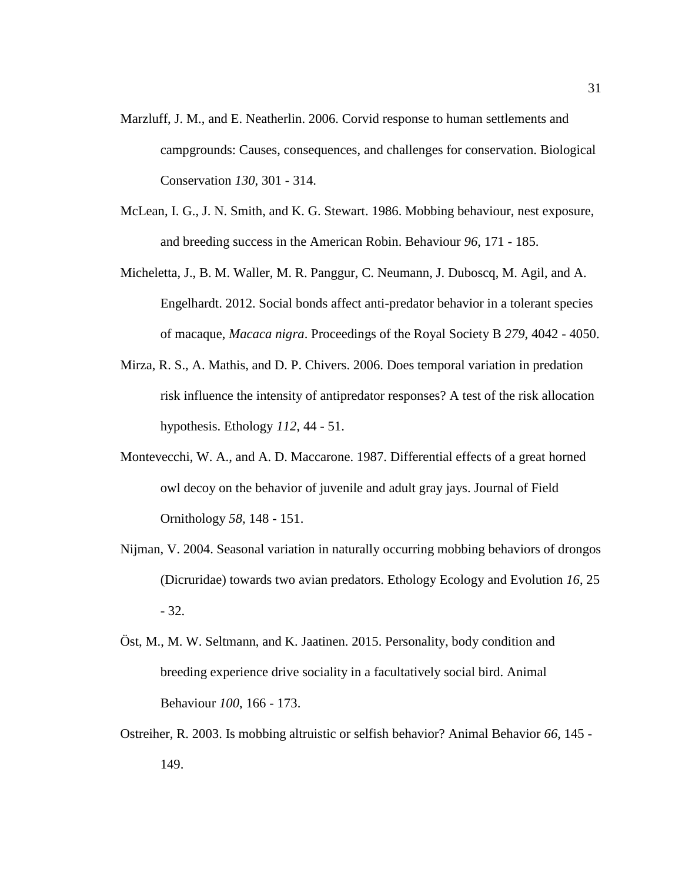- Marzluff, J. M., and E. Neatherlin. 2006. Corvid response to human settlements and campgrounds: Causes, consequences, and challenges for conservation. Biological Conservation *130*, 301 - 314.
- McLean, I. G., J. N. Smith, and K. G. Stewart. 1986. Mobbing behaviour, nest exposure, and breeding success in the American Robin. Behaviour *96*, 171 - 185.
- Micheletta, J., B. M. Waller, M. R. Panggur, C. Neumann, J. Duboscq, M. Agil, and A. Engelhardt. 2012. Social bonds affect anti-predator behavior in a tolerant species of macaque, *Macaca nigra*. Proceedings of the Royal Society B *279*, 4042 - 4050.
- Mirza, R. S., A. Mathis, and D. P. Chivers. 2006. Does temporal variation in predation risk influence the intensity of antipredator responses? A test of the risk allocation hypothesis. Ethology *112*, 44 - 51.
- Montevecchi, W. A., and A. D. Maccarone. 1987. Differential effects of a great horned owl decoy on the behavior of juvenile and adult gray jays. Journal of Field Ornithology *58,* 148 - 151.
- Nijman, V. 2004. Seasonal variation in naturally occurring mobbing behaviors of drongos (Dicruridae) towards two avian predators. Ethology Ecology and Evolution *16*, 25 - 32.
- Öst, M., M. W. Seltmann, and K. Jaatinen. 2015. Personality, body condition and breeding experience drive sociality in a facultatively social bird. Animal Behaviour *100*, 166 - 173.
- Ostreiher, R. 2003. Is mobbing altruistic or selfish behavior? Animal Behavior *66*, 145 149.